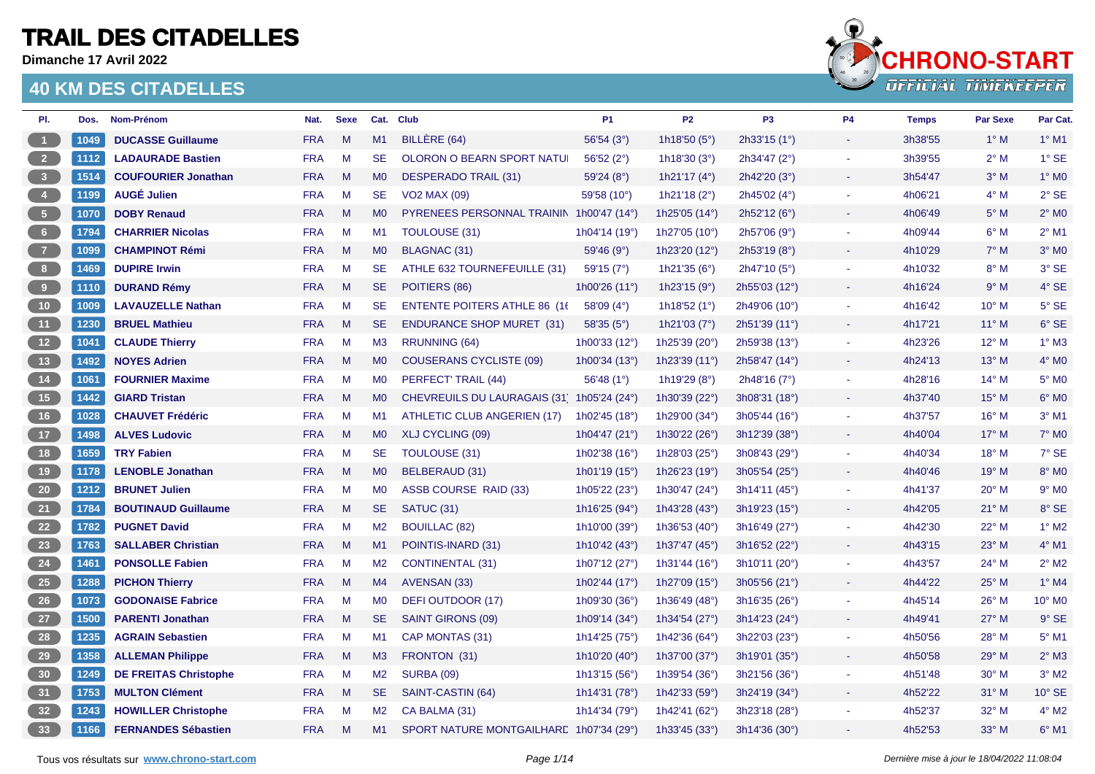**Dimanche 17 Avril 2022**



| PI.                                                   | Dos. | Nom-Prénom                   | Nat.       | <b>Sexe</b> |                | Cat. Club                                | P <sub>1</sub>           | <b>P2</b>                | P <sub>3</sub> | P <sub>4</sub>        | <b>Temps</b> | <b>Par Sexe</b> | Par Cat.                 |
|-------------------------------------------------------|------|------------------------------|------------|-------------|----------------|------------------------------------------|--------------------------|--------------------------|----------------|-----------------------|--------------|-----------------|--------------------------|
| $\vert$ 1                                             | 1049 | <b>DUCASSE Guillaume</b>     | <b>FRA</b> | M           | M1             | BILLERE (64)                             | 56'54 (3°)               | 1h18'50 (5°)             | 2h33'15 (1°)   |                       | 3h38'55      | $1^\circ$ M     | $1°$ M1                  |
| $\overline{2}$                                        | 1112 | <b>LADAURADE Bastien</b>     | <b>FRA</b> | M           | <b>SE</b>      | OLORON O BEARN SPORT NATUI               | 56'52(2°)                | 1h18'30 $(3°)$           | 2h34'47 (2°)   |                       | 3h39'55      | $2^{\circ}$ M   | 1° SE                    |
| $\begin{array}{ c c } \hline 3 \\ \hline \end{array}$ | 1514 | <b>COUFOURIER Jonathan</b>   | <b>FRA</b> | M           | M <sub>0</sub> | DESPERADO TRAIL (31)                     | 59'24(8°)                | 1h21'17 $(4^{\circ})$    | 2h42'20(3°)    |                       | 3h54'47      | $3^\circ$ M     | $1^\circ$ MO             |
| $\overline{4}$                                        | 1199 | <b>AUGÉ Julien</b>           | <b>FRA</b> | M           | <b>SE</b>      | <b>VO2 MAX (09)</b>                      | 59'58 (10°)              | 1h21'18 (2°)             | 2h45'02 (4°)   | $\sim$                | 4h06'21      | $4^\circ$ M     | $2°$ SE                  |
| $\sqrt{5}$                                            | 1070 | <b>DOBY Renaud</b>           | <b>FRA</b> | M           | MO             | PYRENEES PERSONNAL TRAININ 1h00'47 (14°) |                          | 1h25'05 (14°)            | 2h52'12(6°)    | ÷                     | 4h06'49      | $5^\circ$ M     | $2^\circ$ M <sub>0</sub> |
| 6 <sub>6</sub>                                        | 1794 | <b>CHARRIER Nicolas</b>      | <b>FRA</b> | M           | M <sub>1</sub> | TOULOUSE (31)                            | 1h04'14 (19°)            | 1h27'05 (10 $^{\circ}$ ) | 2h57'06(9°)    |                       | 4h09'44      | $6^\circ$ M     | $2^{\circ}$ M1           |
| $\overline{7}$                                        | 1099 | <b>CHAMPINOT Rémi</b>        | <b>FRA</b> | M           | M <sub>0</sub> | BLAGNAC (31)                             | 59'46(9°)                | 1h23'20 (12°)            | 2h53'19 (8°)   | $\sim$                | 4h10'29      | $7^\circ$ M     | $3°$ MO                  |
| 8 <sup>1</sup>                                        | 1469 | <b>DUPIRE Irwin</b>          | <b>FRA</b> | M           | SE.            | ATHLE 632 TOURNEFEUILLE (31)             | 59'15(7°)                | 1h21'35 $(6^{\circ})$    | 2h47'10 (5°)   | $\blacksquare$        | 4h10'32      | $8^\circ$ M     | 3° SE                    |
| $\overline{9}$                                        | 1110 | <b>DURAND Rémy</b>           | <b>FRA</b> | M           | <b>SE</b>      | POITIERS (86)                            | 1h00'26 (11°)            | 1h23'15 (9°)             | 2h55'03 (12°)  |                       | 4h16'24      | 9° M            | 4° SE                    |
| 10 <sub>1</sub>                                       | 1009 | <b>LAVAUZELLE Nathan</b>     | <b>FRA</b> | M           | <b>SE</b>      | <b>ENTENTE POITERS ATHLE 86 (16)</b>     | 58'09 $(4^{\circ})$      | 1h18'52 $(1°)$           | 2h49'06 (10°)  | $\tilde{\phantom{a}}$ | 4h16'42      | $10^{\circ}$ M  | $5^\circ$ SE             |
| (11)                                                  | 1230 | <b>BRUEL Mathieu</b>         | <b>FRA</b> | M           | <b>SE</b>      | <b>ENDURANCE SHOP MURET (31)</b>         | 58'35(5°)                | 1h21'03 $(7°)$           | 2h51'39(11°)   |                       | 4h17'21      | $11^{\circ}$ M  | $6°$ SE                  |
| 12                                                    | 1041 | <b>CLAUDE Thierry</b>        | <b>FRA</b> | M           | M3             | RRUNNING (64)                            | 1h00'33 (12°)            | 1h25'39 (20°)            | 2h59'38 (13°)  | $\sim$                | 4h23'26      | $12^{\circ}$ M  | $1^\circ$ M3             |
| 13                                                    | 1492 | <b>NOYES Adrien</b>          | <b>FRA</b> | M           | MO             | <b>COUSERANS CYCLISTE (09)</b>           | 1h00'34 $(13°)$          | 1h23'39 $(11^{\circ})$   | 2h58'47 (14°)  |                       | 4h24'13      | $13^{\circ}$ M  | $4^\circ$ MO             |
| 14                                                    | 1061 | <b>FOURNIER Maxime</b>       | <b>FRA</b> | M           | M0             | PERFECT' TRAIL (44)                      | 56'48 $(1^{\circ})$      | 1h19'29 $(8^{\circ})$    | 2h48'16(7°)    |                       | 4h28'16      | $14^{\circ}$ M  | $5^\circ$ MO             |
| 15                                                    | 1442 | <b>GIARD Tristan</b>         | <b>FRA</b> | M           | MO             | <b>CHEVREUILS DU LAURAGAIS (31)</b>      | 1h05'24 $(24^{\circ})$   | 1h30'39 (22°)            | 3h08'31 (18°)  |                       | 4h37'40      | $15^{\circ}$ M  | $6^{\circ}$ MO           |
| 16                                                    | 1028 | <b>CHAUVET Frédéric</b>      | <b>FRA</b> | M           | M1             | ATHLETIC CLUB ANGERIEN (17)              | 1h02'45 (18°)            | 1h29'00 (34°)            | 3h05'44(16°)   |                       | 4h37'57      | $16^{\circ}$ M  | $3°$ M1                  |
| $\sqrt{17}$                                           | 1498 | <b>ALVES Ludovic</b>         | <b>FRA</b> | M           | <b>MO</b>      | XLJ CYCLING (09)                         | 1h04'47 $(21^{\circ})$   | 1h30'22 $(26^{\circ})$   | 3h12'39 (38°)  | $\blacksquare$        | 4h40'04      | $17^{\circ}$ M  | $7^\circ$ M <sub>0</sub> |
| 18                                                    | 1659 | <b>TRY Fabien</b>            | <b>FRA</b> | M           | SE.            | TOULOUSE (31)                            | 1h02'38 (16°)            | 1h28'03 (25°)            | 3h08'43 (29°)  | $\sim$                | 4h40'34      | $18^{\circ}$ M  | 7° SE                    |
| 19                                                    | 1178 | <b>LENOBLE Jonathan</b>      | <b>FRA</b> | M           | M <sub>0</sub> | BELBERAUD (31)                           | 1h01'19 (15°)            | 1h26'23 (19 $^{\circ}$ ) | 3h05'54 (25°)  |                       | 4h40'46      | $19°$ M         | $8^\circ$ MO             |
| $20\phantom{.0}$                                      | 1212 | <b>BRUNET Julien</b>         | <b>FRA</b> | M           | M <sub>0</sub> | ASSB COURSE RAID (33)                    | 1h05'22 (23°)            | 1h30'47 (24°)            | 3h14'11 (45°)  | $\blacksquare$        | 4h41'37      | $20^{\circ}$ M  | $9°$ MO                  |
| $\begin{bmatrix} 21 \end{bmatrix}$                    | 1784 | <b>BOUTINAUD Guillaume</b>   | <b>FRA</b> | M           | <b>SE</b>      | SATUC (31)                               | 1h16'25 (94°)            | 1h43'28 (43°)            | 3h19'23(15°)   | $\blacksquare$        | 4h42'05      | $21^{\circ}$ M  | 8° SE                    |
| 22                                                    | 1782 | <b>PUGNET David</b>          | <b>FRA</b> | M           | M2             | <b>BOUILLAC (82)</b>                     | 1h10'00 (39°)            | 1h36'53 $(40^{\circ})$   | 3h16'49(27°)   |                       | 4h42'30      | $22^{\circ}$ M  | $1^\circ$ M2             |
| 23                                                    | 1763 | <b>SALLABER Christian</b>    | <b>FRA</b> | M           | M1             | POINTIS-INARD (31)                       | 1h10'42 (43°)            | 1h37'47 (45°)            | 3h16'52 (22°)  |                       | 4h43'15      | $23^\circ$ M    | $4^{\circ}$ M1           |
| 24                                                    | 1461 | <b>PONSOLLE Fabien</b>       | <b>FRA</b> | M           | M2             | <b>CONTINENTAL (31)</b>                  | 1h07'12 (27°)            | 1h31'44 (16°)            | 3h10'11 (20°)  | $\tilde{\phantom{a}}$ | 4h43'57      | $24^{\circ}$ M  | $2^{\circ}$ M2           |
| 25                                                    | 1288 | <b>PICHON Thierry</b>        | <b>FRA</b> | M           | M4             | AVENSAN (33)                             | 1h02'44 $(17°)$          | 1h27'09 (15 $^{\circ}$ ) | 3h05'56 (21°)  |                       | 4h44'22      | $25^{\circ}$ M  | $1^\circ$ M4             |
| $\overline{26}$                                       | 1073 | <b>GODONAISE Fabrice</b>     | <b>FRA</b> | M           | M <sub>0</sub> | DEFI OUTDOOR (17)                        | 1h09'30 (36°)            | 1h36'49 (48°)            | 3h16'35 (26°)  |                       | 4h45'14      | $26^{\circ}$ M  | 10° MO                   |
| 27                                                    | 1500 | <b>PARENTI Jonathan</b>      | <b>FRA</b> | M           | <b>SE</b>      | SAINT GIRONS (09)                        | 1h09'14 $(34^{\circ})$   | 1h34'54 (27°)            | 3h14'23 (24°)  |                       | 4h49'41      | $27^\circ$ M    | $9°$ SE                  |
| 28                                                    | 1235 | <b>AGRAIN Sebastien</b>      | <b>FRA</b> | M           | M1             | CAP MONTAS (31)                          | 1h14'25 (75 $^{\circ}$ ) | 1h42'36 $(64^{\circ})$   | 3h22'03(23°)   | ٠                     | 4h50'56      | $28^{\circ}$ M  | $5^\circ$ M1             |
| 29                                                    | 1358 | <b>ALLEMAN Philippe</b>      | <b>FRA</b> | M           | M3             | FRONTON (31)                             | 1h10'20 (40°)            | 1h37'00 (37°)            | 3h19'01 (35°)  |                       | 4h50'58      | $29^\circ$ M    | $2^\circ$ M3             |
| 30                                                    | 1249 | <b>DE FREITAS Christophe</b> | <b>FRA</b> | M           | M2             | <b>SURBA (09)</b>                        | 1h13'15 (56°)            | 1h39'54 (36°)            | 3h21'56 (36°)  |                       | 4h51'48      | $30^\circ$ M    | $3°$ M <sub>2</sub>      |
| 31                                                    | 1753 | <b>MULTON Clément</b>        | <b>FRA</b> | M           | SE.            | SAINT-CASTIN (64)                        | 1h14'31 $(78°)$          | 1h42'33 (59 $^{\circ}$ ) | 3h24'19 (34°)  |                       | 4h52'22      | $31^\circ$ M    | $10^{\circ}$ SE          |
| 32                                                    | 1243 | <b>HOWILLER Christophe</b>   | <b>FRA</b> | M           | M2             | CA BALMA (31)                            | 1h14'34 (79°)            | 1h42'41 (62°)            | 3h23'18 (28°)  |                       | 4h52'37      | $32^\circ$ M    | $4^{\circ}$ M2           |
| 33                                                    | 1166 | <b>FERNANDES Sébastien</b>   | <b>FRA</b> | M           | M1             | SPORT NATURE MONTGAILHARE 1h07'34 (29°)  |                          | 1h33'45 (33°)            | 3h14'36 (30°)  |                       | 4h52'53      | $33^\circ$ M    | $6^\circ$ M1             |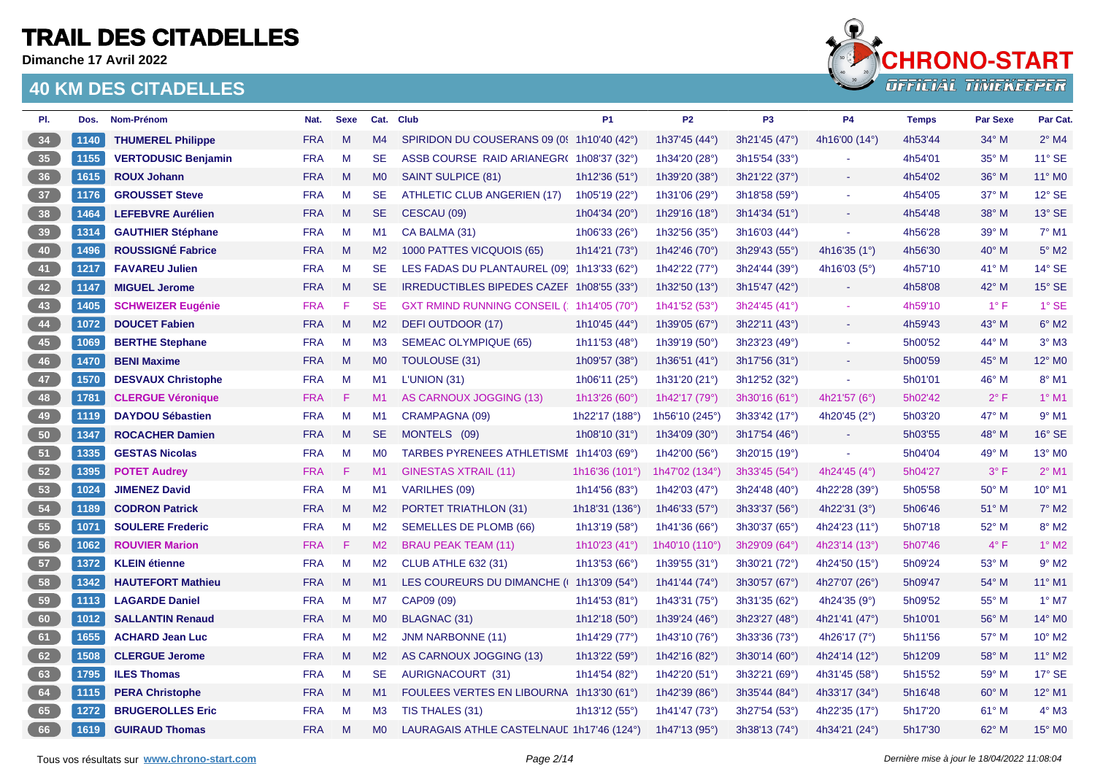**Dimanche 17 Avril 2022**



| PI.            | Dos. | Nom-Prénom                 | Nat.       | <b>Sexe</b> |                | Cat. Club                                  | P <sub>1</sub>           | P <sub>2</sub>           | P <sub>3</sub> | <b>P4</b>              | <b>Temps</b> | <b>Par Sexe</b> | Par Cat.            |
|----------------|------|----------------------------|------------|-------------|----------------|--------------------------------------------|--------------------------|--------------------------|----------------|------------------------|--------------|-----------------|---------------------|
| 34             | 1140 | <b>THUMEREL Philippe</b>   | <b>FRA</b> | M           | M4             | SPIRIDON DU COUSERANS 09 (0! 1h10'40 (42°) |                          | 1h37'45 (44°)            | 3h21'45 (47°)  | 4h16'00 (14°)          | 4h53'44      | $34^\circ$ M    | $2^{\circ}$ M4      |
| 35             | 1155 | <b>VERTODUSIC Benjamin</b> | <b>FRA</b> | M           | <b>SE</b>      | ASSB COURSE RAID ARIANEGR(1h08'37 (32°)    |                          | 1h34'20 (28°)            | 3h15'54(33°)   |                        | 4h54'01      | $35^\circ$ M    | 11° SE              |
| 36             | 1615 | <b>ROUX Johann</b>         | <b>FRA</b> | M           | M <sub>0</sub> | SAINT SULPICE (81)                         | 1h12'36 $(51°)$          | 1h39'20 (38°)            | 3h21'22 (37°)  |                        | 4h54'02      | $36^\circ$ M    | 11° MO              |
| 37             | 1176 | <b>GROUSSET Steve</b>      | <b>FRA</b> | M           | <b>SE</b>      | ATHLETIC CLUB ANGERIEN (17)                | 1h05'19 (22°)            | 1h31'06 (29°)            | 3h18'58 (59°)  | $\blacksquare$         | 4h54'05      | 37° M           | 12° SE              |
| 38             | 1464 | <b>LEFEBVRE Aurélien</b>   | <b>FRA</b> | M           | SE.            | CESCAU (09)                                | 1h04'34 (20°)            | 1h29'16 $(18°)$          | 3h14'34(51°)   | $\sim$                 | 4h54'48      | 38° M           | 13° SE              |
| 39             | 1314 | <b>GAUTHIER Stéphane</b>   | <b>FRA</b> | M           | M1             | CA BALMA (31)                              | 1h06'33 (26°)            | 1h32'56 $(35°)$          | 3h16'03(44°)   |                        | 4h56'28      | $39^\circ$ M    | $7^\circ$ M1        |
| 40             | 1496 | <b>ROUSSIGNÉ Fabrice</b>   | <b>FRA</b> | M           | M <sub>2</sub> | 1000 PATTES VICQUOIS (65)                  | 1h14'21 (73°)            | 1h42'46 (70°)            | 3h29'43 (55°)  | 4h16'35 (1°)           | 4h56'30      | $40^\circ$ M    | $5^\circ$ M2        |
| 41             | 1217 | <b>FAVAREU Julien</b>      | <b>FRA</b> | M           | <b>SE</b>      | LES FADAS DU PLANTAUREL (09) 1h13'33 (62°) |                          | 1h42'22 (77°)            | 3h24'44 (39°)  | 4h16'03 $(5^{\circ})$  | 4h57'10      | $41^{\circ}$ M  | 14° SE              |
| 42             | 1147 | <b>MIGUEL Jerome</b>       | <b>FRA</b> | M           | SE.            | IRREDUCTIBLES BIPEDES CAZEF 1h08'55 (33°)  |                          | 1h32'50 $(13°)$          | 3h15'47 (42°)  | $\sim$                 | 4h58'08      | $42^{\circ}$ M  | 15° SE              |
| 43             | 1405 | <b>SCHWEIZER Eugénie</b>   | <b>FRA</b> | F           | <b>SE</b>      | GXT RMIND RUNNING CONSEIL (1h14'05 (70°)   |                          | 1h41'52 (53°)            | 3h24'45 (41°)  |                        | 4h59'10      | $1^{\circ}$ F   | $1°$ SE             |
| 44             | 1072 | <b>DOUCET Fabien</b>       | <b>FRA</b> | M           | M <sub>2</sub> | DEFI OUTDOOR (17)                          | 1h10'45 (44°)            | 1h39'05 (67°)            | 3h22'11 (43°)  |                        | 4h59'43      | 43° M           | $6^\circ$ M2        |
| 45             | 1069 | <b>BERTHE Stephane</b>     | <b>FRA</b> | M           | M3             | <b>SEMEAC OLYMPIQUE (65)</b>               | 1h11'53 (48 $^{\circ}$ ) | 1h39'19 $(50^{\circ})$   | 3h23'23(49°)   | $\sim$                 | 5h00'52      | 44° M           | $3°$ M3             |
| 46             | 1470 | <b>BENI Maxime</b>         | <b>FRA</b> | M           | MO             | TOULOUSE (31)                              | 1h09'57 (38°)            | 1h36'51 (41°)            | 3h17'56 (31°)  |                        | 5h00'59      | 45° M           | 12° M0              |
| 47             | 1570 | <b>DESVAUX Christophe</b>  | <b>FRA</b> | M           | M1             | L'UNION (31)                               | 1h06'11 $(25^{\circ})$   | 1h31'20 $(21°)$          | 3h12'52 (32°)  |                        | 5h01'01      | 46° M           | $8^\circ$ M1        |
| 48             | 1781 | <b>CLERGUE Véronique</b>   | <b>FRA</b> | F           | M1             | AS CARNOUX JOGGING (13)                    | 1h13'26 (60°)            | 1h42'17 (79°)            | 3h30'16(61°)   | 4h21'57 (6°)           | 5h02'42      | $2^{\circ}$ F   | $1^\circ$ M1        |
| $\frac{49}{ }$ | 1119 | <b>DAYDOU Sébastien</b>    | <b>FRA</b> | M           | M1             | CRAMPAGNA (09)                             | 1h22'17 (188°)           | 1h56'10 (245°)           | 3h33'42 (17°)  | 4h20'45 $(2^{\circ})$  | 5h03'20      | 47° M           | $9°$ M1             |
| 50             | 1347 | <b>ROCACHER Damien</b>     | <b>FRA</b> | M           | <b>SE</b>      | MONTELS (09)                               | 1h08'10 $(31°)$          | 1h34'09 (30°)            | 3h17'54 (46°)  | $\sim$                 | 5h03'55      | $48^\circ$ M    | $16^\circ$ SE       |
| 51             | 1335 | <b>GESTAS Nicolas</b>      | <b>FRA</b> | M           | <b>MO</b>      | TARBES PYRENEES ATHLETISME 1h14'03 (69°)   |                          | 1h42'00 (56°)            | 3h20'15 (19°)  | $\blacksquare$         | 5h04'04      | 49° M           | 13° M0              |
| 52             | 1395 | <b>POTET Audrey</b>        | <b>FRA</b> | -F          | M1             | <b>GINESTAS XTRAIL (11)</b>                | 1h16'36 (101°)           | 1h47'02 (134°)           | 3h33'45(54°)   | 4h24'45 (4°)           | 5h04'27      | $3^{\circ}$ F   | $2^{\circ}$ M1      |
| 53             | 1024 | <b>JIMENEZ David</b>       | <b>FRA</b> | M           | M1             | VARILHES (09)                              | 1h14'56 (83°)            | 1h42'03 (47°)            | 3h24'48(40°)   | 4h22'28 (39°)          | 5h05'58      | 50° M           | 10° M1              |
| 54             | 1189 | <b>CODRON Patrick</b>      | <b>FRA</b> | M           | M <sub>2</sub> | PORTET TRIATHLON (31)                      | 1h18'31 (136°)           | 1h46'33 (57°)            | 3h33'37 (56°)  | 4h22'31 (3°)           | 5h06'46      | $51^\circ$ M    | $7^\circ$ M2        |
| 55             | 1071 | <b>SOULERE Frederic</b>    | <b>FRA</b> | M           | M <sub>2</sub> | SEMELLES DE PLOMB (66)                     | 1h13'19 (58°)            | 1h41'36 (66°)            | 3h30'37 (65°)  | 4h24'23 $(11^{\circ})$ | 5h07'18      | 52° M           | $8^\circ$ M2        |
| 56             | 1062 | <b>ROUVIER Marion</b>      | <b>FRA</b> | F           | M <sub>2</sub> | <b>BRAU PEAK TEAM (11)</b>                 | 1h10'23 $(41^{\circ})$   | 1h40'10 $(110°)$         | 3h29'09(64°)   | 4h23'14 $(13°)$        | 5h07'46      | $4^{\circ}$ F   | $1^\circ$ M2        |
| 57             | 1372 | <b>KLEIN</b> étienne       | <b>FRA</b> | M           | M2             | <b>CLUB ATHLE 632 (31)</b>                 | 1h13'53 (66°)            | 1h39'55 (31°)            | 3h30'21 (72°)  | 4h24'50 (15°)          | 5h09'24      | 53° M           | $9°$ M <sub>2</sub> |
| 58             | 1342 | <b>HAUTEFORT Mathieu</b>   | <b>FRA</b> | M           | M1             | LES COUREURS DU DIMANCHE (1 1h13'09 (54°)  |                          | 1h41'44 (74 $^{\circ}$ ) | 3h30'57 (67°)  | 4h27'07 (26°)          | 5h09'47      | 54° M           | 11° M1              |
| 59             | 1113 | <b>LAGARDE Daniel</b>      | <b>FRA</b> | M           | M7             | CAP09 (09)                                 | 1h14'53 (81°)            | 1h43'31 (75°)            | 3h31'35 (62°)  | 4h24'35 (9°)           | 5h09'52      | 55° M           | $1^\circ$ M7        |
| 60             | 1012 | <b>SALLANTIN Renaud</b>    | <b>FRA</b> | M           | MO             | BLAGNAC (31)                               | 1h12'18 $(50^{\circ})$   | 1h39'24 (46°)            | 3h23'27 (48°)  | 4h21'41 (47°)          | 5h10'01      | 56° M           | 14° M0              |
| 61             | 1655 | <b>ACHARD Jean Luc</b>     | <b>FRA</b> | M           | M <sub>2</sub> | <b>JNM NARBONNE (11)</b>                   | 1h14'29 (77°)            | 1h43'10 (76°)            | 3h33'36 (73°)  | 4h26'17 $(7°)$         | 5h11'56      | 57° M           | 10° M2              |
| 62             | 1508 | <b>CLERGUE Jerome</b>      | <b>FRA</b> | M           | M2             | AS CARNOUX JOGGING (13)                    | 1h13'22 (59°)            | 1h42'16 (82°)            | 3h30'14 (60°)  | 4h24'14 (12°)          | 5h12'09      | 58° M           | 11° M2              |
| 63             | 1795 | <b>ILES Thomas</b>         | <b>FRA</b> | M           | <b>SE</b>      | AURIGNACOURT (31)                          | 1h14'54 (82°)            | 1h42'20 (51°)            | 3h32'21 (69°)  | 4h31'45 (58°)          | 5h15'52      | 59° M           | 17° SE              |
| 64             | 1115 | <b>PERA Christophe</b>     | <b>FRA</b> | M           | M1             | FOULEES VERTES EN LIBOURNA 1h13'30 (61°)   |                          | 1h42'39 (86°)            | 3h35'44 (84°)  | 4h33'17 (34°)          | 5h16'48      | $60^\circ$ M    | 12° M1              |
| 65             | 1272 | <b>BRUGEROLLES Eric</b>    | <b>FRA</b> | M           | M3             | TIS THALES (31)                            | 1h13'12 $(55°)$          | 1h41'47 (73°)            | 3h27'54 (53°)  | 4h22'35 (17°)          | 5h17'20      | $61^\circ$ M    | $4^\circ$ M3        |
| 66             | 1619 | <b>GUIRAUD Thomas</b>      | <b>FRA</b> | M           | MO             | LAURAGAIS ATHLE CASTELNAUL 1h17'46 (124°)  |                          | 1h47'13 (95°)            | 3h38'13 (74°)  | 4h34'21 (24°)          | 5h17'30      | $62^\circ$ M    | 15° MO              |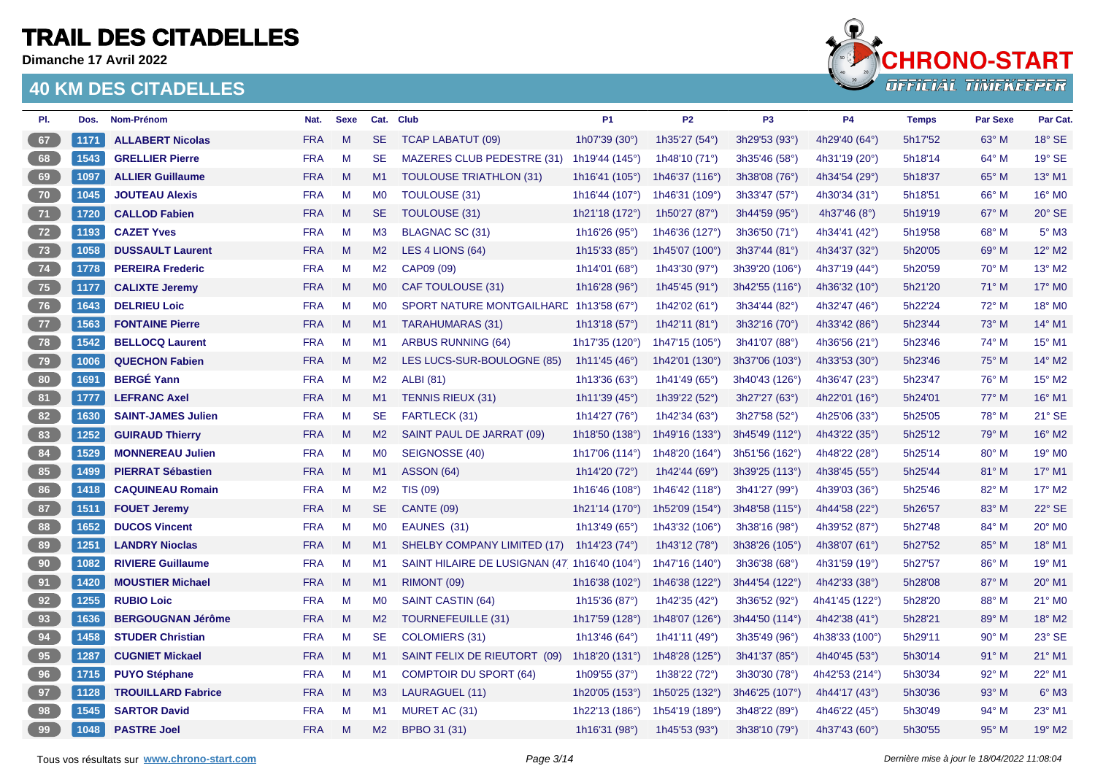**Dimanche 17 Avril 2022**



| PI.             | Dos. | Nom-Prénom                | Nat.       | <b>Sexe</b> | Cat.           | <b>Club</b>                                  | P <sub>1</sub>           | P <sub>2</sub>   | P <sub>3</sub> | <b>P4</b>                | <b>Temps</b> | <b>Par Sexe</b> | Par Cat.                  |
|-----------------|------|---------------------------|------------|-------------|----------------|----------------------------------------------|--------------------------|------------------|----------------|--------------------------|--------------|-----------------|---------------------------|
| 67              | 1171 | <b>ALLABERT Nicolas</b>   | <b>FRA</b> | M           | <b>SE</b>      | <b>TCAP LABATUT (09)</b>                     | 1h07'39 (30°)            | 1h35'27 (54°)    | 3h29'53 (93°)  | 4h29'40 (64°)            | 5h17'52      | $63^\circ$ M    | 18° SE                    |
| 68              | 1543 | <b>GRELLIER Pierre</b>    | <b>FRA</b> | M           | <b>SE</b>      | MAZERES CLUB PEDESTRE (31)                   | 1h19'44 (145°)           | 1h48'10 (71°)    | 3h35'46 (58°)  | 4h31'19 (20°)            | 5h18'14      | $64^{\circ}$ M  | 19° SE                    |
| 69              | 1097 | <b>ALLIER Guillaume</b>   | <b>FRA</b> | M           | M1             | <b>TOULOUSE TRIATHLON (31)</b>               | 1h16'41 (105°)           | 1h46'37 (116°)   | 3h38'08 (76°)  | 4h34'54 (29°)            | 5h18'37      | 65° M           | 13° M1                    |
| $70^{\circ}$    | 1045 | <b>JOUTEAU Alexis</b>     | <b>FRA</b> | M           | M <sub>0</sub> | TOULOUSE (31)                                | 1h16'44 (107°)           | 1h46'31 (109°)   | 3h33'47 (57°)  | 4h30'34 (31°)            | 5h18'51      | 66° M           | 16° M0                    |
| 71              | 1720 | <b>CALLOD Fabien</b>      | <b>FRA</b> | M           | <b>SE</b>      | <b>TOULOUSE (31)</b>                         | 1h21'18 (172°)           | 1h50'27 (87°)    | 3h44'59 (95°)  | 4h37'46 $(8^{\circ})$    | 5h19'19      | 67° M           | $20^\circ$ SE             |
| 72              | 1193 | <b>CAZET Yves</b>         | <b>FRA</b> | M           | M3             | <b>BLAGNAC SC (31)</b>                       | 1h16'26 (95°)            | 1h46'36 (127°)   | 3h36'50 (71°)  | 4h34'41 (42°)            | 5h19'58      | 68° M           | $5^\circ$ M3              |
| 73              | 1058 | <b>DUSSAULT Laurent</b>   | <b>FRA</b> | M           | M2             | LES 4 LIONS (64)                             | 1h15'33 (85°)            | 1h45'07 (100°)   | 3h37'44 (81°)  | 4h34'37 (32°)            | 5h20'05      | 69° M           | 12° M2                    |
| 74              | 1778 | <b>PEREIRA Frederic</b>   | <b>FRA</b> | M           | M <sub>2</sub> | CAP09 (09)                                   | 1h14'01 (68°)            | 1h43'30 (97°)    | 3h39'20 (106°) | 4h37'19 (44°)            | 5h20'59      | $70^\circ$ M    | 13° M2                    |
| 75              | 1177 | <b>CALIXTE Jeremy</b>     | <b>FRA</b> | M           | M <sub>0</sub> | CAF TOULOUSE (31)                            | 1h16'28 $(96°)$          | 1h45'45 (91°)    | 3h42'55 (116°) | 4h36'32 $(10^{\circ})$   | 5h21'20      | $71^\circ$ M    | 17° M0                    |
| 76              | 1643 | <b>DELRIEU Loic</b>       | <b>FRA</b> | M           | <b>MO</b>      | SPORT NATURE MONTGAILHARE 1h13'58 (67°)      |                          | 1h42'02 (61°)    | 3h34'44 (82°)  | 4h32'47 (46°)            | 5h22'24      | 72° M           | 18° MO                    |
| 77              | 1563 | <b>FONTAINE Pierre</b>    | <b>FRA</b> | M           | M1             | <b>TARAHUMARAS (31)</b>                      | 1h13'18 (57 $^{\circ}$ ) | 1h42'11 (81°)    | 3h32'16 (70°)  | 4h33'42 (86°)            | 5h23'44      | $73^\circ$ M    | 14° M1                    |
| $78$            | 1542 | <b>BELLOCQ Laurent</b>    | <b>FRA</b> | M           | M1             | ARBUS RUNNING (64)                           | 1h17'35 (120°)           | 1h47'15 (105°)   | 3h41'07 (88°)  | 4h36'56 (21°)            | 5h23'46      | $74^\circ$ M    | 15° M1                    |
| 79              | 1006 | <b>QUECHON Fabien</b>     | <b>FRA</b> | M           | M2             | LES LUCS-SUR-BOULOGNE (85)                   | 1h11'45 (46 $^{\circ}$ ) | 1h42'01 (130°)   | 3h37'06 (103°) | 4h33'53 (30°)            | 5h23'46      | $75^\circ$ M    | 14° M2                    |
| 80 <sub>1</sub> | 1691 | <b>BERGÉ Yann</b>         | <b>FRA</b> | M           | M2             | <b>ALBI</b> (81)                             | 1h13'36 $(63°)$          | 1h41'49 (65°)    | 3h40'43 (126°) | 4h36'47 (23°)            | 5h23'47      | $76^{\circ}$ M  | 15° M2                    |
| 81              | 1777 | <b>LEFRANC Axel</b>       | <b>FRA</b> | M           | M1             | <b>TENNIS RIEUX (31)</b>                     | 1h11'39 $(45^{\circ})$   | 1h39'22 (52°)    | 3h27'27 (63°)  | 4h22'01 (16°)            | 5h24'01      | $77^\circ$ M    | 16° M1                    |
| 82              | 1630 | <b>SAINT-JAMES Julien</b> | <b>FRA</b> | M           | <b>SE</b>      | FARTLECK (31)                                | 1h14'27 (76°)            | 1h42'34 (63°)    | 3h27'58 (52°)  | 4h25'06 (33°)            | 5h25'05      | 78° M           | 21° SE                    |
| 83              | 1252 | <b>GUIRAUD Thierry</b>    | <b>FRA</b> | M           | M2             | SAINT PAUL DE JARRAT (09)                    | 1h18'50 (138°)           | 1h49'16 (133°)   | 3h45'49 (112°) | 4h43'22 (35°)            | 5h25'12      | 79° M           | 16° M2                    |
| 84              | 1529 | <b>MONNEREAU Julien</b>   | <b>FRA</b> | M           | <b>MO</b>      | SEIGNOSSE (40)                               | 1h17'06 (114°)           | 1h48'20 (164°)   | 3h51'56 (162°) | 4h48'22 (28°)            | 5h25'14      | 80° M           | 19° M0                    |
| 85              | 1499 | <b>PIERRAT Sébastien</b>  | <b>FRA</b> | M           | M1             | <b>ASSON (64)</b>                            | 1h14'20 (72°)            | 1h42'44 (69°)    | 3h39'25 (113°) | 4h38'45 (55 $^{\circ}$ ) | 5h25'44      | 81° M           | 17° M1                    |
| 86              | 1418 | <b>CAQUINEAU Romain</b>   | <b>FRA</b> | M           | M2             | <b>TIS (09)</b>                              | 1h16'46 (108°)           | 1h46'42 (118°)   | 3h41'27 (99°)  | 4h39'03 (36°)            | 5h25'46      | 82° M           | 17° M2                    |
| ${\bf 87}$      | 1511 | <b>FOUET Jeremy</b>       | <b>FRA</b> | M           | SE.            | <b>CANTE (09)</b>                            | 1h21'14 (170°)           | 1h52'09 (154°)   | 3h48'58 (115°) | 4h44'58 (22°)            | 5h26'57      | 83° M           | 22° SE                    |
| 88              | 1652 | <b>DUCOS Vincent</b>      | <b>FRA</b> | M           | M <sub>0</sub> | EAUNES (31)                                  | 1h13'49 (65 $^{\circ}$ ) | 1h43'32 (106°)   | 3h38'16 (98°)  | 4h39'52 (87°)            | 5h27'48      | 84° M           | 20° MO                    |
| 89              | 1251 | <b>LANDRY Nioclas</b>     | <b>FRA</b> | M           | M1             | SHELBY COMPANY LIMITED (17) 1h14'23 (74°)    |                          | 1h43'12 $(78°)$  | 3h38'26 (105°) | 4h38'07 (61°)            | 5h27'52      | 85° M           | 18° M1                    |
| 90              | 1082 | <b>RIVIERE Guillaume</b>  | <b>FRA</b> | M           | M1             | SAINT HILAIRE DE LUSIGNAN (47 1h16'40 (104°) |                          | 1h47'16 (140°)   | 3h36'38 (68°)  | 4h31'59 (19°)            | 5h27'57      | 86° M           | 19° M1                    |
| 91              | 1420 | <b>MOUSTIER Michael</b>   | <b>FRA</b> | M           | M1             | RIMONT (09)                                  | 1h16'38 $(102°)$         | 1h46'38 $(122°)$ | 3h44'54 (122°) | 4h42'33 (38°)            | 5h28'08      | 87° M           | 20° M1                    |
| 92              | 1255 | <b>RUBIO Loic</b>         | <b>FRA</b> | M           | M <sub>0</sub> | SAINT CASTIN (64)                            | 1h15'36 (87°)            | 1h42'35 (42°)    | 3h36'52 (92°)  | 4h41'45 (122°)           | 5h28'20      | 88° M           | 21° MO                    |
| 93              | 1636 | <b>BERGOUGNAN Jérôme</b>  | <b>FRA</b> | M           | M2             | TOURNEFEUILLE (31)                           | 1h17'59 (128°)           | 1h48'07 (126°)   | 3h44'50 (114°) | 4h42'38 (41°)            | 5h28'21      | 89° M           | 18° M2                    |
| 94              | 1458 | <b>STUDER Christian</b>   | <b>FRA</b> | M           | <b>SE</b>      | COLOMIERS (31)                               | 1h13'46 (64°)            | 1h41'11 $(49°)$  | 3h35'49 (96°)  | 4h38'33 (100°)           | 5h29'11      | $90^\circ$ M    | 23° SE                    |
| 95              | 1287 | <b>CUGNIET Mickael</b>    | <b>FRA</b> | M           | M1             | SAINT FELIX DE RIEUTORT (09)                 | 1h18'20 (131°)           | 1h48'28 (125°)   | 3h41'37 (85°)  | 4h40'45 (53°)            | 5h30'14      | $91°$ M         | 21° M1                    |
| 96              | 1715 | <b>PUYO Stéphane</b>      | <b>FRA</b> | M           | M1             | <b>COMPTOIR DU SPORT (64)</b>                | 1h09'55 (37°)            | 1h38'22 (72°)    | 3h30'30 (78°)  | 4h42'53 (214°)           | 5h30'34      | 92° M           | 22° M1                    |
| 97              | 1128 | <b>TROUILLARD Fabrice</b> | <b>FRA</b> | M           | M3             | LAURAGUEL (11)                               | 1h20'05 (153°)           | 1h50'25 (132°)   | 3h46'25 (107°) | 4h44'17 (43°)            | 5h30'36      | $93^\circ$ M    | $6^\circ$ M3              |
| 98              | 1545 | <b>SARTOR David</b>       | <b>FRA</b> | M           | M1             | MURET AC (31)                                | 1h22'13 (186°)           | 1h54'19 (189°)   | 3h48'22 (89°)  | 4h46'22 $(45^{\circ})$   | 5h30'49      | $94^\circ$ M    | 23° M1                    |
| 99              | 1048 | <b>PASTRE Joel</b>        | <b>FRA</b> | M           | M2             | BPBO 31 (31)                                 | 1h16'31 (98°)            | 1h45'53 (93°)    | 3h38'10 (79°)  | 4h37'43 (60 $^{\circ}$ ) | 5h30'55      | $95^\circ$ M    | $19^\circ$ M <sub>2</sub> |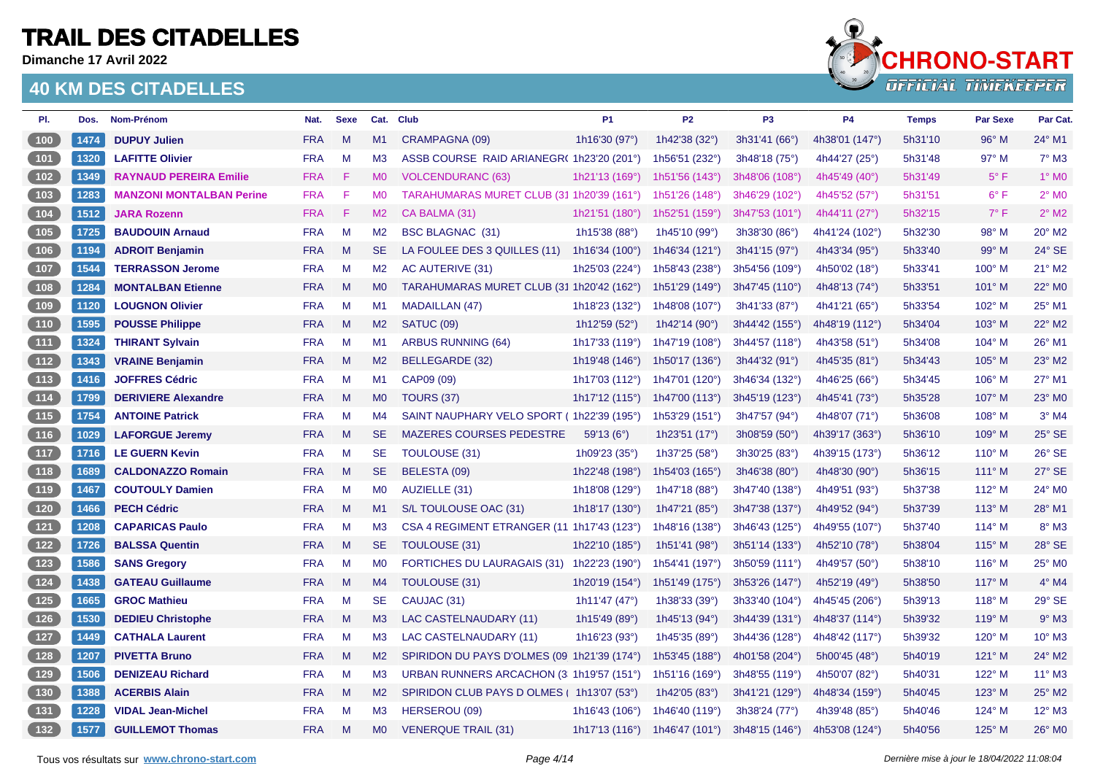**Dimanche 17 Avril 2022**



| PI.                                                            | Dos. | Nom-Prénom                      | Nat.       | <b>Sexe</b> |                | Cat. Club                                   | <b>P1</b>                | <b>P2</b>                 | P <sub>3</sub>   | <b>P4</b>                | <b>Temps</b> | <b>Par Sexe</b> | Par Cat.                   |
|----------------------------------------------------------------|------|---------------------------------|------------|-------------|----------------|---------------------------------------------|--------------------------|---------------------------|------------------|--------------------------|--------------|-----------------|----------------------------|
| $100$                                                          | 1474 | <b>DUPUY Julien</b>             | <b>FRA</b> | M           | M1             | CRAMPAGNA (09)                              | 1h16'30 (97°)            | 1h42'38 (32°)             | 3h31'41 (66°)    | 4h38'01 (147°)           | 5h31'10      | $96^\circ$ M    | 24° M1                     |
| 101                                                            | 1320 | <b>LAFITTE Olivier</b>          | <b>FRA</b> | M           | M3             | ASSB COURSE RAID ARIANEGR(1h23'20 (201°)    |                          | 1h56'51 (232°)            | 3h48'18 (75°)    | 4h44'27 (25°)            | 5h31'48      | $97^\circ$ M    | $7°$ M3                    |
| 102                                                            | 1349 | <b>RAYNAUD PEREIRA Emilie</b>   | <b>FRA</b> | -F.         | <b>MO</b>      | <b>VOLCENDURANC (63)</b>                    | 1h21'13 (169°)           | 1h51'56 $(143°)$          | 3h48'06 (108°)   | 4h45'49 (40 $^{\circ}$ ) | 5h31'49      | $5^{\circ}$ F   | $1^\circ$ MO               |
| 103                                                            | 1283 | <b>MANZONI MONTALBAN Perine</b> | <b>FRA</b> | F           | M <sub>0</sub> | TARAHUMARAS MURET CLUB (31 1h20'39 (161°)   |                          | 1h51'26 (148°)            | 3h46'29 (102°)   | 4h45'52 (57°)            | 5h31'51      | $6^{\circ}$ F   | $2^{\circ}$ MO             |
| 104                                                            | 1512 | <b>JARA Rozenn</b>              | <b>FRA</b> | -F          | M2             | CA BALMA (31)                               | 1h21'51 (180°)           | 1h52'51 (159°)            | 3h47'53 (101°)   | 4h44'11 (27 $^{\circ}$ ) | 5h32'15      | $7^\circ$ F     | $2^{\circ}$ M <sub>2</sub> |
| $105$                                                          | 1725 | <b>BAUDOUIN Arnaud</b>          | <b>FRA</b> | M           | M <sub>2</sub> | <b>BSC BLAGNAC (31)</b>                     | 1h15'38 (88°)            | 1h45'10 (99°)             | 3h38'30 (86°)    | 4h41'24 (102°)           | 5h32'30      | 98° M           | 20° M2                     |
| $\begin{array}{ c c } \hline \hline \hline \hline \end{array}$ | 1194 | <b>ADROIT Benjamin</b>          | <b>FRA</b> | M           | <b>SE</b>      | LA FOULEE DES 3 QUILLES (11)                | 1h16'34 $(100^{\circ})$  | 1h46'34 (121°)            | 3h41'15 (97°)    | 4h43'34 (95°)            | 5h33'40      | 99° M           | 24° SE                     |
| $107$                                                          | 1544 | <b>TERRASSON Jerome</b>         | <b>FRA</b> | M           | M2             | AC AUTERIVE (31)                            | 1h25'03 (224°)           | 1h58'43 (238°)            | 3h54'56 (109°)   | 4h50'02 (18°)            | 5h33'41      | $100^\circ$ M   | 21° M2                     |
| (108)                                                          | 1284 | <b>MONTALBAN Etienne</b>        | <b>FRA</b> | M           | M <sub>0</sub> | TARAHUMARAS MURET CLUB (31 1h20'42 (162°)   |                          | 1h51'29 (149°)            | 3h47'45 (110°)   | 4h48'13 (74°)            | 5h33'51      | 101° M          | 22° M0                     |
| 109                                                            | 1120 | <b>LOUGNON Olivier</b>          | <b>FRA</b> | M           | M1             | <b>MADAILLAN (47)</b>                       | 1h18'23 (132°)           | 1h48'08 (107°)            | 3h41'33 (87°)    | 4h41'21 (65°)            | 5h33'54      | 102° M          | 25° M1                     |
| (110)                                                          | 1595 | <b>POUSSE Philippe</b>          | <b>FRA</b> | M           | M2             | SATUC (09)                                  | 1h12'59 (52°)            | 1h42'14 (90 $^{\circ}$ )  | $3h44'42$ (155°) | 4h48'19 (112°)           | 5h34'04      | $103^\circ$ M   | 22° M2                     |
| $\begin{array}{c} \boxed{111} \end{array}$                     | 1324 | <b>THIRANT Sylvain</b>          | <b>FRA</b> | M           | M1             | <b>ARBUS RUNNING (64)</b>                   | 1h17'33 (119°)           | 1h47'19 (108°)            | 3h44'57 (118°)   | 4h43'58 (51°)            | 5h34'08      | 104° M          | 26° M1                     |
| (112)                                                          | 1343 | <b>VRAINE Benjamin</b>          | <b>FRA</b> | M           | M2             | BELLEGARDE (32)                             | 1h19'48 (146°)           | 1h50'17 (136°)            | 3h44'32 (91°)    | 4h45'35 (81°)            | 5h34'43      | $105^\circ$ M   | 23° M2                     |
| 113                                                            | 1416 | <b>JOFFRES Cédric</b>           | <b>FRA</b> | M           | M1             | CAP09 (09)                                  | 1h17'03 (112°)           | 1h47'01 (120°)            | 3h46'34 (132°)   | 4h46'25 $(66^{\circ})$   | 5h34'45      | $106^\circ$ M   | 27° M1                     |
| (114)                                                          | 1799 | <b>DERIVIERE Alexandre</b>      | <b>FRA</b> | M           | M <sub>0</sub> | <b>TOURS (37)</b>                           | 1h17'12 $(115°)$         | 1h47'00 (113°)            | 3h45'19 (123°)   | 4h45'41 (73°)            | 5h35'28      | 107° M          | 23° M0                     |
| $\boxed{115}$                                                  | 1754 | <b>ANTOINE Patrick</b>          | <b>FRA</b> | M           | M4             | SAINT NAUPHARY VELO SPORT (1h22'39 (195°)   |                          | 1h53'29 $(151°)$          | 3h47'57 (94°)    | 4h48'07 (71°)            | 5h36'08      | $108^\circ$ M   | $3°$ M4                    |
| $116$                                                          | 1029 | <b>LAFORGUE Jeremy</b>          | <b>FRA</b> | M           | <b>SE</b>      | MAZERES COURSES PEDESTRE                    | 59'13(6°)                | 1h23'51 $(17°)$           | 3h08'59(50°)     | 4h39'17 (363°)           | 5h36'10      | 109° M          | 25° SE                     |
| (117)                                                          | 1716 | <b>LE GUERN Kevin</b>           | <b>FRA</b> | M           | <b>SE</b>      | <b>TOULOUSE (31)</b>                        | 1h09'23 (35°)            | 1h37'25 (58°)             | 3h30'25 (83°)    | 4h39'15 (173°)           | 5h36'12      | $110^{\circ}$ M | 26° SE                     |
| (118)                                                          | 1689 | <b>CALDONAZZO Romain</b>        | <b>FRA</b> | M           | <b>SE</b>      | BELESTA (09)                                | 1h22'48 (198°)           | 1h54'03 (165°)            | 3h46'38(80°)     | 4h48'30 (90°)            | 5h36'15      | $111^\circ$ M   | 27° SE                     |
| $119$                                                          | 1467 | <b>COUTOULY Damien</b>          | <b>FRA</b> | M           | <b>MO</b>      | AUZIELLE (31)                               | 1h18'08 (129°)           | 1h47'18 (88°)             | 3h47'40 (138°)   | 4h49'51 (93°)            | 5h37'38      | $112^{\circ}$ M | 24° M0                     |
| 120                                                            | 1466 | <b>PECH Cédric</b>              | <b>FRA</b> | M           | M1             | S/L TOULOUSE OAC (31)                       | 1h18'17 (130°)           | 1h47'21 (85°)             | 3h47'38 (137°)   | 4h49'52 (94°)            | 5h37'39      | $113^\circ$ M   | 28° M1                     |
| $\boxed{121}$                                                  | 1208 | <b>CAPARICAS Paulo</b>          | <b>FRA</b> | M           | M <sub>3</sub> | CSA 4 REGIMENT ETRANGER (11 1h17'43 (123°)  |                          | 1h48'16 (138°)            | 3h46'43(125°)    | 4h49'55 (107°)           | 5h37'40      | $114^{\circ}$ M | $8^\circ$ M3               |
| $122$                                                          | 1726 | <b>BALSSA Quentin</b>           | <b>FRA</b> | M           | <b>SE</b>      | <b>TOULOUSE (31)</b>                        | 1h22'10 (185°)           | 1h51'41 (98°)             | 3h51'14 (133°)   | 4h52'10 (78°)            | 5h38'04      | $115^\circ$ M   | 28° SE                     |
| $\begin{array}{c} \boxed{123} \end{array}$                     | 1586 | <b>SANS Gregory</b>             | <b>FRA</b> | M           | M <sub>0</sub> | <b>FORTICHES DU LAURAGAIS (31)</b>          | 1h22'23 (190°)           | 1h54'41 (197°)            | 3h50'59 (111°)   | 4h49'57 (50°)            | 5h38'10      | $116^\circ$ M   | 25° M0                     |
| $124$                                                          | 1438 | <b>GATEAU Guillaume</b>         | <b>FRA</b> | M           | M4             | TOULOUSE (31)                               | 1h20'19 $(154^{\circ})$  | 1h51'49 (175°)            | 3h53'26 (147°)   | 4h52'19 (49°)            | 5h38'50      | $117^\circ$ M   | $4^\circ$ M4               |
| $125$                                                          | 1665 | <b>GROC Mathieu</b>             | <b>FRA</b> | M           | <b>SE</b>      | CAUJAC (31)                                 | 1h11'47 (47 $^{\circ}$ ) | 1h38'33 (39°)             | 3h33'40 (104°)   | 4h45'45 (206°)           | 5h39'13      | $118^\circ$ M   | 29° SE                     |
| 126                                                            | 1530 | <b>DEDIEU Christophe</b>        | <b>FRA</b> | M           | M3             | LAC CASTELNAUDARY (11)                      | 1h15'49 (89°)            | 1h45'13 (94°)             | 3h44'39 (131°)   | 4h48'37 (114°)           | 5h39'32      | $119^\circ$ M   | $9°$ M3                    |
| $127$                                                          | 1449 | <b>CATHALA Laurent</b>          | <b>FRA</b> | M           | M <sub>3</sub> | LAC CASTELNAUDARY (11)                      | 1h16'23 (93 $^{\circ}$ ) | 1h45'35 (89°)             | 3h44'36 (128°)   | 4h48'42 (117°)           | 5h39'32      | $120^\circ$ M   | 10° M3                     |
| 128                                                            | 1207 | <b>PIVETTA Bruno</b>            | <b>FRA</b> | M           | M2             | SPIRIDON DU PAYS D'OLMES (09 1h21'39 (174°) |                          | 1h53'45 (188°)            | 4h01'58 (204°)   | 5h00'45 (48°)            | 5h40'19      | 121° M          | 24° M2                     |
| 129                                                            | 1506 | <b>DENIZEAU Richard</b>         | <b>FRA</b> | M           | M <sub>3</sub> | URBAN RUNNERS ARCACHON (3 1h19'57 (151°)    |                          | 1h51'16 (169 $^{\circ}$ ) | 3h48'55 (119°)   | 4h50'07 (82°)            | 5h40'31      | 122° M          | 11° M3                     |
| $\begin{bmatrix} 130 \end{bmatrix}$                            | 1388 | <b>ACERBIS Alain</b>            | <b>FRA</b> | M           | M2             | SPIRIDON CLUB PAYS D OLMES   1h13'07 (53°)  |                          | 1h42'05 (83°)             | 3h41'21 (129°)   | 4h48'34 (159°)           | 5h40'45      | 123° M          | 25° M2                     |
| $131$                                                          | 1228 | <b>VIDAL Jean-Michel</b>        | <b>FRA</b> | M           | M <sub>3</sub> | HERSEROU (09)                               | 1h16'43 (106°)           | 1h46'40 (119°)            | 3h38'24 (77°)    | 4h39'48 (85°)            | 5h40'46      | 124° M          | 12° M3                     |
| $132$                                                          | 1577 | <b>GUILLEMOT Thomas</b>         | <b>FRA</b> | M           | M <sub>0</sub> | <b>VENERQUE TRAIL (31)</b>                  | 1h17'13 $(116°)$         | 1h46'47 (101 $^{\circ}$ ) | 3h48'15 (146°)   | 4h53'08 (124°)           | 5h40'56      | $125^\circ$ M   | 26° MO                     |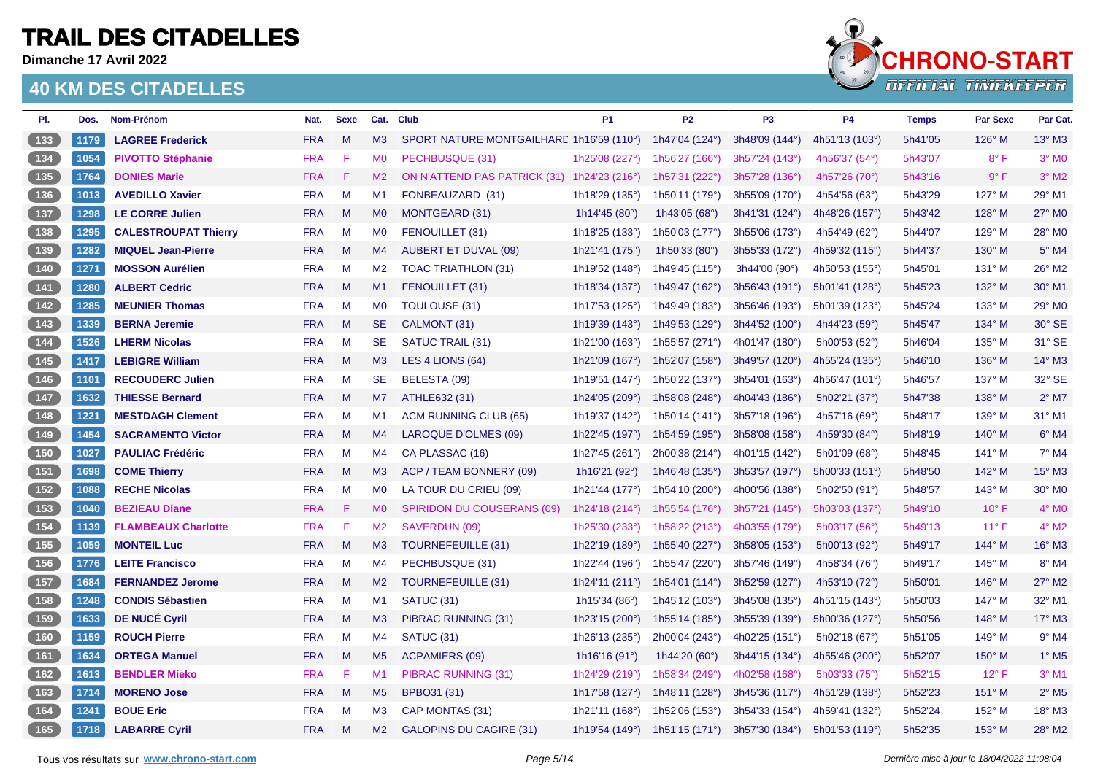**Dimanche 17 Avril 2022**



| PI.                                        | Dos. | Nom-Prénom                  | Nat.       | <b>Sexe</b> | Cat.           | <b>Club</b>                                 | <b>P1</b>                 | <b>P2</b>                 | P <sub>3</sub> | <b>P4</b>              | <b>Temps</b> | <b>Par Sexe</b> | Par Cat.                   |
|--------------------------------------------|------|-----------------------------|------------|-------------|----------------|---------------------------------------------|---------------------------|---------------------------|----------------|------------------------|--------------|-----------------|----------------------------|
| $133$                                      | 1179 | <b>LAGREE Frederick</b>     | <b>FRA</b> | M           | M3             | SPORT NATURE MONTGAILHARE 1h16'59 (110°)    |                           | 1h47'04 (124°)            | 3h48'09 (144°) | 4h51'13 (103°)         | 5h41'05      | $126^\circ$ M   | $13^\circ$ M3              |
| $\boxed{134}$                              | 1054 | <b>PIVOTTO Stéphanie</b>    | <b>FRA</b> | F           | M <sub>0</sub> | PECHBUSQUE (31)                             | 1h25'08 (227°)            | 1h56'27 $(166°)$          | 3h57'24 (143°) | 4h56'37 (54°)          | 5h43'07      | $8^{\circ}$ F   | $3°$ MO                    |
| 135                                        | 1764 | <b>DONIES Marie</b>         | <b>FRA</b> | -F.         | M2             | ON N'ATTEND PAS PATRICK (31) 1h24'23 (216°) |                           | 1h57'31 (222°)            | 3h57'28 (136°) | 4h57'26 (70°)          | 5h43'16      | 9° F            | $3°$ M <sub>2</sub>        |
| $136$                                      | 1013 | <b>AVEDILLO Xavier</b>      | <b>FRA</b> | M           | M <sub>1</sub> | FONBEAUZARD (31)                            | 1h18'29 (135°)            | 1h50'11 (179°)            | 3h55'09 (170°) | 4h54'56 $(63°)$        | 5h43'29      | 127° M          | 29° M1                     |
| $137$                                      | 1298 | <b>LE CORRE Julien</b>      | <b>FRA</b> | M           | M <sub>0</sub> | <b>MONTGEARD (31)</b>                       | 1h14'45 (80°)             | 1h43'05 (68°)             | 3h41'31 (124°) | 4h48'26 (157°)         | 5h43'42      | 128° M          | 27° M0                     |
| $138$                                      | 1295 | <b>CALESTROUPAT Thierry</b> | <b>FRA</b> | M           | M <sub>0</sub> | FENOUILLET (31)                             | 1h18'25 (133°)            | 1h50'03 (177°)            | 3h55'06 (173°) | 4h54'49 $(62^{\circ})$ | 5h44'07      | 129° M          | 28° M0                     |
| (139)                                      | 1282 | <b>MIQUEL Jean-Pierre</b>   | <b>FRA</b> | M           | M4             | <b>AUBERT ET DUVAL (09)</b>                 | 1h21'41 (175°)            | 1h50'33 (80°)             | 3h55'33 (172°) | 4h59'32 (115°)         | 5h44'37      | 130° M          | $5^\circ$ M4               |
| $140$                                      | 1271 | <b>MOSSON Aurélien</b>      | <b>FRA</b> | M           | M2             | <b>TOAC TRIATHLON (31)</b>                  | 1h19'52 (148°)            | 1h49'45 (115°)            | 3h44'00 (90°)  | 4h50'53 (155°)         | 5h45'01      | $131^\circ$ M   | 26° M2                     |
| (141)                                      | 1280 | <b>ALBERT Cedric</b>        | <b>FRA</b> | M           | M1             | FENOUILLET (31)                             | 1h18'34 $(137°)$          | 1h49'47 (162°)            | 3h56'43 (191°) | 5h01'41 (128°)         | 5h45'23      | 132° M          | 30° M1                     |
| $142$                                      | 1285 | <b>MEUNIER Thomas</b>       | <b>FRA</b> | M           | M <sub>0</sub> | TOULOUSE (31)                               | 1h17'53 (125°)            | 1h49'49 (183°)            | 3h56'46 (193°) | 5h01'39 (123°)         | 5h45'24      | 133° M          | 29° MO                     |
| (143)                                      | 1339 | <b>BERNA Jeremie</b>        | <b>FRA</b> | M           | <b>SE</b>      | CALMONT (31)                                | 1h19'39 $(143°)$          | 1h49'53 (129°)            | 3h44'52 (100°) | 4h44'23 (59°)          | 5h45'47      | $134^\circ$ M   | 30° SE                     |
| $\begin{array}{c} \n144\n\end{array}$      | 1526 | <b>LHERM Nicolas</b>        | <b>FRA</b> | M           | <b>SE</b>      | SATUC TRAIL (31)                            | 1h21'00 (163°)            | 1h55'57 (271°)            | 4h01'47 (180°) | 5h00'53 (52°)          | 5h46'04      | $135^\circ$ M   | 31° SE                     |
| (145)                                      | 1417 | <b>LEBIGRE William</b>      | <b>FRA</b> | M           | M3             | LES 4 LIONS (64)                            | 1h21'09 (167°)            | 1h52'07 (158°)            | 3h49'57 (120°) | 4h55'24 (135°)         | 5h46'10      | $136^\circ$ M   | $14^{\circ}$ M3            |
| $146$                                      | 1101 | <b>RECOUDERC Julien</b>     | <b>FRA</b> | M           | <b>SE</b>      | BELESTA (09)                                | 1h19'51 (147°)            | 1h50'22 (137°)            | 3h54'01 (163°) | 4h56'47 (101°)         | 5h46'57      | 137° M          | 32° SE                     |
| 147                                        | 1632 | <b>THIESSE Bernard</b>      | <b>FRA</b> | M           | M7             | ATHLE632 (31)                               | 1h24'05 (209°)            | 1h58'08 (248°)            | 4h04'43 (186°) | 5h02'21 (37°)          | 5h47'38      | $138^\circ$ M   | $2^{\circ}$ M7             |
| $148$                                      | 1221 | <b>MESTDAGH Clement</b>     | <b>FRA</b> | M           | M1             | <b>ACM RUNNING CLUB (65)</b>                | 1h19'37 (142°)            | 1h50'14 (141°)            | 3h57'18 (196°) | 4h57'16 (69°)          | 5h48'17      | 139° M          | 31° M1                     |
| (149)                                      | 1454 | <b>SACRAMENTO Victor</b>    | <b>FRA</b> | M           | M4             | LAROQUE D'OLMES (09)                        | 1h22'45 (197°)            | 1h54'59 (195°)            | 3h58'08 (158°) | 4h59'30 (84°)          | 5h48'19      | $140^\circ$ M   | $6^\circ$ M4               |
| 150                                        | 1027 | <b>PAULIAC Frédéric</b>     | <b>FRA</b> | M           | M4             | CA PLASSAC (16)                             | 1h27'45 (261 $^{\circ}$ ) | 2h00'38 (214°)            | 4h01'15 (142°) | 5h01'09 (68°)          | 5h48'45      | $141^\circ$ M   | $7^\circ$ M4               |
| 151                                        | 1698 | <b>COME Thierry</b>         | <b>FRA</b> | M           | M3             | ACP / TEAM BONNERY (09)                     | 1h16'21 (92°)             | 1h46'48 (135°)            | 3h53'57 (197°) | 5h00'33(151°)          | 5h48'50      | 142° M          | 15° M3                     |
| $152$                                      | 1088 | <b>RECHE Nicolas</b>        | <b>FRA</b> | M           | M <sub>0</sub> | LA TOUR DU CRIEU (09)                       | 1h21'44 (177°)            | 1h54'10 (200°)            | 4h00'56 (188°) | 5h02'50 (91°)          | 5h48'57      | 143° M          | 30° MO                     |
| 153                                        | 1040 | <b>BEZIEAU Diane</b>        | <b>FRA</b> | F           | M <sub>0</sub> | <b>SPIRIDON DU COUSERANS (09)</b>           | 1h24'18 (214°)            | 1h55'54 $(176°)$          | 3h57'21 (145°) | 5h03'03 (137°)         | 5h49'10      | $10^{\circ}$ F  | $4^{\circ}$ MO             |
| $154$                                      | 1139 | <b>FLAMBEAUX Charlotte</b>  | <b>FRA</b> | F           | M2             | SAVERDUN (09)                               | 1h25'30 (233°)            | 1h58'22 $(213°)$          | 4h03'55 (179°) | 5h03'17 (56°)          | 5h49'13      | $11^{\circ}$ F  | $4^\circ$ M2               |
| 155                                        | 1059 | <b>MONTEIL Luc</b>          | <b>FRA</b> | M           | M3             | <b>TOURNEFEUILLE (31)</b>                   | 1h22'19 (189°)            | 1h55'40 (227°)            | 3h58'05 (153°) | 5h00'13 (92°)          | 5h49'17      | 144° M          | 16° M3                     |
| $156$                                      | 1776 | <b>LEITE Francisco</b>      | <b>FRA</b> | M           | M4             | PECHBUSQUE (31)                             | 1h22'44 (196°)            | 1h55'47 (220°)            | 3h57'46 (149°) | 4h58'34 (76°)          | 5h49'17      | 145° M          | 8° M4                      |
| $157$                                      | 1684 | <b>FERNANDEZ Jerome</b>     | <b>FRA</b> | M           | M2             | <b>TOURNEFEUILLE (31)</b>                   | 1h24'11 (211°)            | 1h54'01 (114°)            | 3h52'59 (127°) | 4h53'10 $(72^{\circ})$ | 5h50'01      | 146° M          | 27° M2                     |
| 158                                        | 1248 | <b>CONDIS Sébastien</b>     | <b>FRA</b> | M           | M1             | SATUC (31)                                  | 1h15'34 (86°)             | 1h45'12 (103°)            | 3h45'08 (135°) | 4h51'15 (143°)         | 5h50'03      | $147^\circ$ M   | 32° M1                     |
| $\begin{array}{c} \boxed{159} \end{array}$ | 1633 | <b>DE NUCÉ Cyril</b>        | <b>FRA</b> | M           | M <sub>3</sub> | PIBRAC RUNNING (31)                         | 1h23'15 (200°)            | 1h55'14 (185 $^{\circ}$ ) | 3h55'39 (139°) | 5h00'36 (127°)         | 5h50'56      | $148^\circ$ M   | $17^\circ$ M3              |
| 160                                        | 1159 | <b>ROUCH Pierre</b>         | <b>FRA</b> | M           | M4             | SATUC (31)                                  | 1h26'13 (235°)            | 2h00'04 (243°)            | 4h02'25 (151°) | 5h02'18 (67°)          | 5h51'05      | $149^\circ$ M   | $9°$ M4                    |
| 161                                        | 1634 | <b>ORTEGA Manuel</b>        | <b>FRA</b> | M           | M <sub>5</sub> | <b>ACPAMIERS (09)</b>                       | 1h16'16 (91°)             | 1h44'20 $(60^{\circ})$    | 3h44'15 (134°) | 4h55'46 (200°)         | 5h52'07      | $150^\circ$ M   | $1^\circ$ M <sub>5</sub>   |
| $162$                                      | 1613 | <b>BENDLER Mieko</b>        | <b>FRA</b> | F           | M1             | PIBRAC RUNNING (31)                         | 1h24'29 (219°)            | 1h58'34 (249°)            | 4h02'58 (168°) | 5h03'33 (75°)          | 5h52'15      | $12^{\circ}$ F  | $3°$ M1                    |
| 163                                        | 1714 | <b>MORENO Jose</b>          | <b>FRA</b> | M           | M <sub>5</sub> | BPBO31 (31)                                 | 1h17'58 (127°)            | 1h48'11 (128°)            | 3h45'36 (117°) | 4h51'29 (138°)         | 5h52'23      | $151^\circ$ M   | $2^{\circ}$ M <sub>5</sub> |
| $164$                                      | 1241 | <b>BOUE Eric</b>            | <b>FRA</b> | M           | M <sub>3</sub> | CAP MONTAS (31)                             | 1h21'11 (168°)            | 1h52'06 (153°)            | 3h54'33 (154°) | 4h59'41 (132°)         | 5h52'24      | 152° M          | 18° M3                     |
| [165]                                      | 1718 | <b>LABARRE Cyril</b>        | <b>FRA</b> | M           | M <sub>2</sub> | <b>GALOPINS DU CAGIRE (31)</b>              | 1h19'54 (149°)            | 1h51'15 $(171°)$          | 3h57'30 (184°) | 5h01'53 (119°)         | 5h52'35      | $153^\circ$ M   | 28° M2                     |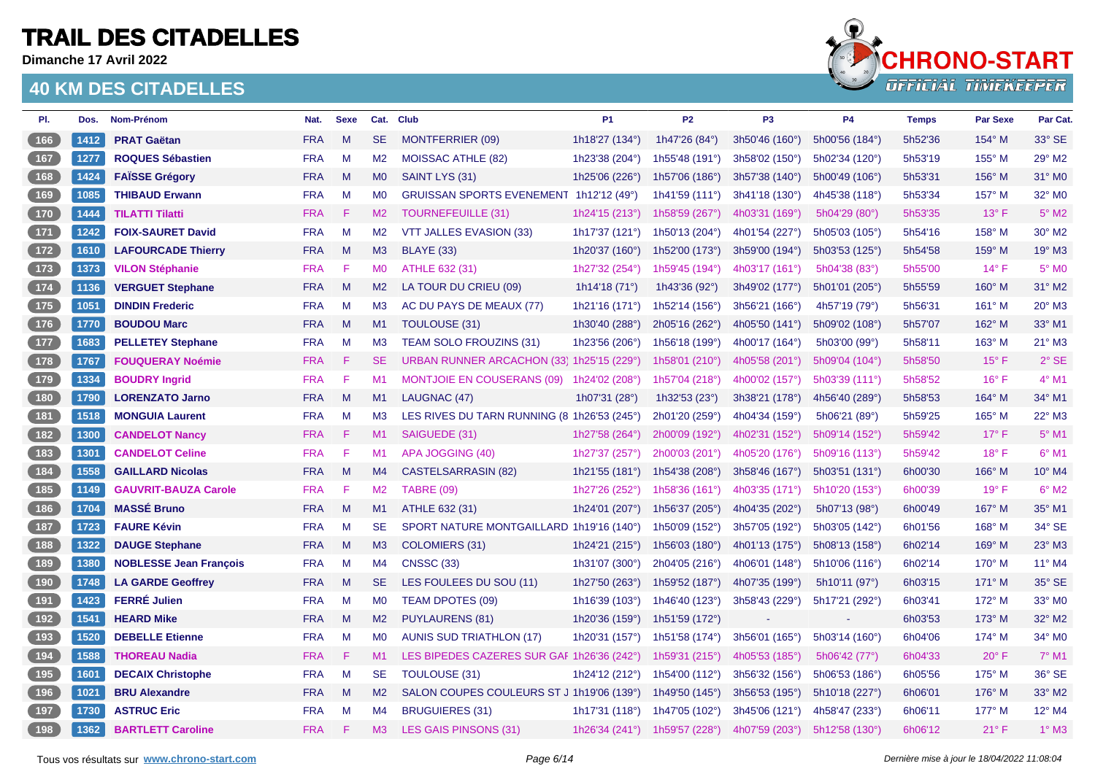**Dimanche 17 Avril 2022**



| PI.                                        | Dos. | Nom-Prénom                    | Nat.       | <b>Sexe</b> |                | Cat. Club                                   | <b>P1</b>       | <b>P2</b>               | P <sub>3</sub> | P <sub>4</sub>         | <b>Temps</b> | <b>Par Sexe</b> | Par Cat.        |
|--------------------------------------------|------|-------------------------------|------------|-------------|----------------|---------------------------------------------|-----------------|-------------------------|----------------|------------------------|--------------|-----------------|-----------------|
| (166)                                      | 1412 | <b>PRAT Gaëtan</b>            | <b>FRA</b> | M           | <b>SE</b>      | MONTFERRIER (09)                            | 1h18'27 (134°)  | 1h47'26 (84°)           | 3h50'46 (160°) | 5h00'56 (184°)         | 5h52'36      | 154° M          | 33° SE          |
| $167$                                      | 1277 | <b>ROQUES Sébastien</b>       | <b>FRA</b> | M           | M2             | <b>MOISSAC ATHLE (82)</b>                   | 1h23'38 (204°)  | 1h55'48 (191°)          | 3h58'02 (150°) | 5h02'34 (120°)         | 5h53'19      | 155° M          | 29° M2          |
| 168                                        | 1424 | <b>FAÏSSE Grégory</b>         | <b>FRA</b> | M           | <b>MO</b>      | SAINT LYS (31)                              | 1h25'06 (226°)  | 1h57'06 (186°)          | 3h57'38 (140°) | 5h00'49 (106°)         | 5h53'31      | $156^{\circ}$ M | 31° MO          |
| (169)                                      | 1085 | <b>THIBAUD Erwann</b>         | <b>FRA</b> | M           | M <sub>0</sub> | GRUISSAN SPORTS EVENEMENT 1h12'12 (49°)     |                 | 1h41'59 (111°)          | 3h41'18 (130°) | 4h45'38 (118°)         | 5h53'34      | 157° M          | 32° MO          |
| (170)                                      | 1444 | <b>TILATTI Tilatti</b>        | <b>FRA</b> | -F.         | M2             | <b>TOURNEFEUILLE (31)</b>                   | 1h24'15 (213°)  | 1h58'59 (267°)          | 4h03'31 (169°) | 5h04'29 $(80^{\circ})$ | 5h53'35      | $13^{\circ}$ F  | $5^\circ$ M2    |
| $\begin{array}{c} \boxed{171} \end{array}$ | 1242 | <b>FOIX-SAURET David</b>      | <b>FRA</b> | M           | M <sub>2</sub> | VTT JALLES EVASION (33)                     | 1h17'37 (121°)  | 1h50'13 (204°)          | 4h01'54 (227°) | 5h05'03 (105°)         | 5h54'16      | 158° M          | 30° M2          |
| (172)                                      | 1610 | <b>LAFOURCADE Thierry</b>     | <b>FRA</b> | M           | M3             | <b>BLAYE (33)</b>                           | 1h20'37 (160°)  | 1h52'00 (173°)          | 3h59'00 (194°) | 5h03'53 (125°)         | 5h54'58      | $159^\circ$ M   | 19° M3          |
| $\begin{array}{c} \boxed{173} \end{array}$ | 1373 | <b>VILON Stéphanie</b>        | <b>FRA</b> | -F          | <b>MO</b>      | ATHLE 632 (31)                              | 1h27'32 (254°)  | 1h59'45 (194°)          | 4h03'17 (161°) | 5h04'38 (83°)          | 5h55'00      | $14^{\circ}$ F  | 5° MO           |
| 174                                        | 1136 | <b>VERGUET Stephane</b>       | <b>FRA</b> | M           | M2             | LA TOUR DU CRIEU (09)                       | 1h14'18 $(71°)$ | 1h43'36 (92°)           | 3h49'02 (177°) | 5h01'01 (205°)         | 5h55'59      | $160^\circ$ M   | 31° M2          |
| (175)                                      | 1051 | <b>DINDIN Frederic</b>        | <b>FRA</b> | M           | M3             | AC DU PAYS DE MEAUX (77)                    | 1h21'16 (171°)  | 1h52'14 (156°)          | 3h56'21 (166°) | 4h57'19 (79°)          | 5h56'31      | 161° M          | 20° M3          |
| 176                                        | 1770 | <b>BOUDOU Marc</b>            | <b>FRA</b> | M           | M1             | <b>TOULOUSE (31)</b>                        | 1h30'40 (288°)  | 2h05'16 (262°)          | 4h05'50 (141°) | 5h09'02 (108°)         | 5h57'07      | 162° M          | 33° M1          |
| 177                                        | 1683 | <b>PELLETEY Stephane</b>      | <b>FRA</b> | M           | M3             | <b>TEAM SOLO FROUZINS (31)</b>              | 1h23'56 (206°)  | 1h56'18 (199°)          | 4h00'17 (164°) | 5h03'00 (99°)          | 5h58'11      | $163^\circ$ M   | 21° M3          |
| 178                                        | 1767 | <b>FOUQUERAY Noémie</b>       | <b>FRA</b> | F           | <b>SE</b>      | URBAN RUNNER ARCACHON (33) 1h25'15 (229°)   |                 | 1h58'01 (210°)          | 4h05'58 (201°) | 5h09'04 (104°)         | 5h58'50      | $15^{\circ}$ F  | $2°$ SE         |
| $179$                                      | 1334 | <b>BOUDRY Ingrid</b>          | <b>FRA</b> | F           | M1             | <b>MONTJOIE EN COUSERANS (09)</b>           | 1h24'02 (208°)  | 1h57'04 (218°)          | 4h00'02 (157°) | 5h03'39(111°)          | 5h58'52      | $16^{\circ}$ F  | $4°$ M1         |
| 180                                        | 1790 | <b>LORENZATO Jarno</b>        | <b>FRA</b> | M           | M1             | LAUGNAC (47)                                | 1h07'31 (28°)   | 1h32'53 (23°)           | 3h38'21 (178°) | 4h56'40 (289°)         | 5h58'53      | 164° M          | 34° M1          |
| $181$                                      | 1518 | <b>MONGUIA Laurent</b>        | <b>FRA</b> | M           | M <sub>3</sub> | LES RIVES DU TARN RUNNING (8 1h26'53 (245°) |                 | 2h01'20 (259°)          | 4h04'34 (159°) | 5h06'21 (89°)          | 5h59'25      | 165° M          | 22° M3          |
| 182                                        | 1300 | <b>CANDELOT Nancy</b>         | <b>FRA</b> | -F          | M1             | SAIGUEDE (31)                               | 1h27'58 (264°)  | 2h00'09 (192°)          | 4h02'31 (152°) | 5h09'14 (152°)         | 5h59'42      | $17^{\circ}$ F  | $5^\circ$ M1    |
| $183$                                      | 1301 | <b>CANDELOT Celine</b>        | <b>FRA</b> | -F          | M1             | APA JOGGING (40)                            | 1h27'37 (257°)  | 2h00'03 (201°)          | 4h05'20 (176°) | 5h09'16 (113°)         | 5h59'42      | $18^{\circ}$ F  | $6^{\circ}$ M1  |
| (184)                                      | 1558 | <b>GAILLARD Nicolas</b>       | <b>FRA</b> | M           | M4             | <b>CASTELSARRASIN (82)</b>                  | 1h21'55 (181°)  | 1h54'38 (208°)          | 3h58'46 (167°) | 5h03'51 (131°)         | 6h00'30      | $166^\circ$ M   | $10^{\circ}$ M4 |
| $185$                                      | 1149 | <b>GAUVRIT-BAUZA Carole</b>   | <b>FRA</b> | -F          | M2             | <b>TABRE (09)</b>                           | 1h27'26 (252°)  | 1h58'36 (161°)          | 4h03'35 (171°) | 5h10'20 (153°)         | 6h00'39      | $19^\circ$ F    | $6^{\circ}$ M2  |
| (186)                                      | 1704 | <b>MASSÉ Bruno</b>            | <b>FRA</b> | M           | M1             | ATHLE 632 (31)                              | 1h24'01 (207°)  | 1h56'37 (205°)          | 4h04'35 (202°) | 5h07'13 (98°)          | 6h00'49      | 167° M          | 35° M1          |
| $187$                                      | 1723 | <b>FAURE Kévin</b>            | <b>FRA</b> | M           | SE.            | SPORT NATURE MONTGAILLARD 1h19'16 (140°)    |                 | 1h50'09 (152°)          | 3h57'05 (192°) | 5h03'05 (142°)         | 6h01'56      | $168^\circ$ M   | 34° SE          |
| (188)                                      | 1322 | <b>DAUGE Stephane</b>         | <b>FRA</b> | M           | M3             | COLOMIERS (31)                              | 1h24'21 (215°)  | 1h56'03 (180°)          | 4h01'13 (175°) | 5h08'13 (158°)         | 6h02'14      | 169° M          | 23° M3          |
| $189$                                      | 1380 | <b>NOBLESSE Jean François</b> | <b>FRA</b> | M           | M4             | <b>CNSSC (33)</b>                           | 1h31'07 (300°)  | 2h04'05 (216°)          | 4h06'01 (148°) | 5h10'06 (116°)         | 6h02'14      | $170^\circ$ M   | 11° M4          |
| 190                                        | 1748 | <b>LA GARDE Geoffrey</b>      | <b>FRA</b> | M           | <b>SE</b>      | LES FOULEES DU SOU (11)                     | 1h27'50 (263°)  | 1h59'52 (187°)          | 4h07'35 (199°) | 5h10'11 (97°)          | 6h03'15      | 171° M          | 35° SE          |
| $\begin{array}{c} \boxed{191} \end{array}$ | 1423 | <b>FERRÉ Julien</b>           | <b>FRA</b> | M           | M <sub>0</sub> | TEAM DPOTES (09)                            | 1h16'39 (103°)  | 1h46'40 (123°)          | 3h58'43 (229°) | 5h17'21 (292°)         | 6h03'41      | 172° M          | 33° MO          |
| (192)                                      | 1541 | <b>HEARD Mike</b>             | <b>FRA</b> | M           | M2             | <b>PUYLAURENS (81)</b>                      | 1h20'36 (159°)  | 1h51'59 (172°)          |                | $\sim$                 | 6h03'53      | 173° M          | 32° M2          |
| $193$                                      | 1520 | <b>DEBELLE Etienne</b>        | <b>FRA</b> | M           | M <sub>0</sub> | <b>AUNIS SUD TRIATHLON (17)</b>             | 1h20'31 (157°)  | 1h51'58 (174°)          | 3h56'01 (165°) | 5h03'14 (160°)         | 6h04'06      | $174^\circ$ M   | 34° M0          |
| (194)                                      | 1588 | <b>THOREAU Nadia</b>          | <b>FRA</b> | -F          | M1             | LES BIPEDES CAZERES SUR GAF 1h26'36 (242°)  |                 | 1h59'31 $(215^{\circ})$ | 4h05'53 (185°) | 5h06'42 (77°)          | 6h04'33      | $20^{\circ}$ F  | $7°$ M1         |
| $195$                                      | 1601 | <b>DECAIX Christophe</b>      | <b>FRA</b> | M           | <b>SE</b>      | TOULOUSE (31)                               | 1h24'12 (212°)  | 1h54'00 (112°)          | 3h56'32 (156°) | 5h06'53 (186°)         | 6h05'56      | 175° M          | 36° SE          |
| (196)                                      | 1021 | <b>BRU Alexandre</b>          | <b>FRA</b> | M           | M2             | SALON COUPES COULEURS ST J 1h19'06 (139°)   |                 | 1h49'50 (145°)          | 3h56'53 (195°) | 5h10'18 (227°)         | 6h06'01      | $176^\circ$ M   | 33° M2          |
| $197$                                      | 1730 | <b>ASTRUC Eric</b>            | <b>FRA</b> | M           | M <sub>4</sub> | <b>BRUGUIERES (31)</b>                      | 1h17'31 (118°)  | 1h47'05 (102°)          | 3h45'06 (121°) | 4h58'47 (233°)         | 6h06'11      | 177° M          | 12° M4          |
| (198)                                      | 1362 | <b>BARTLETT Caroline</b>      | <b>FRA</b> | F           | M3             | <b>LES GAIS PINSONS (31)</b>                | 1h26'34 (241°)  | 1h59'57 (228°)          | 4h07'59 (203°) | 5h12'58 (130°)         | 6h06'12      | $21^{\circ}$ F  | $1^\circ$ M3    |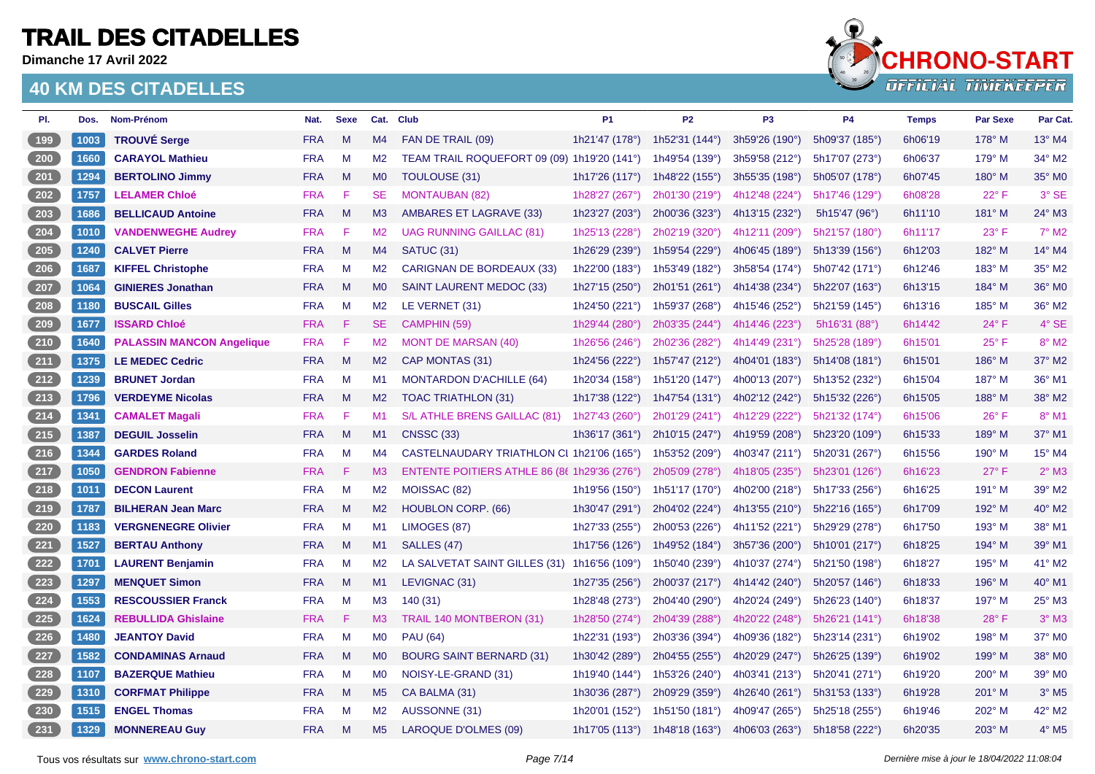**Dimanche 17 Avril 2022**



| PI.                | Dos. | Nom-Prénom                       | Nat.       | <b>Sexe</b>  |                | Cat. Club                                    | <b>P1</b>             | <b>P2</b>               | P <sub>3</sub>            | <b>P4</b>      | <b>Temps</b> | Par Sexe       | Par Cat.            |
|--------------------|------|----------------------------------|------------|--------------|----------------|----------------------------------------------|-----------------------|-------------------------|---------------------------|----------------|--------------|----------------|---------------------|
| 199                | 1003 | <b>TROUVÉ Serge</b>              | <b>FRA</b> | M            | M <sub>4</sub> | FAN DE TRAIL (09)                            | 1h21'47 (178°)        | 1h52'31 $(144^{\circ})$ | 3h59'26 (190°)            | 5h09'37 (185°) | 6h06'19      | $178^\circ$ M  | $13^{\circ}$ M4     |
| 200                | 1660 | <b>CARAYOL Mathieu</b>           | <b>FRA</b> | M            | M <sub>2</sub> | TEAM TRAIL ROQUEFORT 09 (09) 1h19'20 (141°)  |                       | 1h49'54 (139°)          | 3h59'58 (212°)            | 5h17'07 (273°) | 6h06'37      | $179^\circ$ M  | 34° M2              |
| 201                | 1294 | <b>BERTOLINO Jimmy</b>           | <b>FRA</b> | M            | <b>MO</b>      | TOULOUSE (31)                                | 1h17'26 $(117°)$      | 1h48'22 $(155^{\circ})$ | 3h55'35 (198°)            | 5h05'07 (178°) | 6h07'45      | 180° M         | 35° MO              |
| 202                | 1757 | <b>LELAMER Chloé</b>             | <b>FRA</b> | F            | <b>SE</b>      | <b>MONTAUBAN (82)</b>                        | 1h28'27 (267°)        | 2h01'30 (219°)          | 4h12'48 (224°)            | 5h17'46 (129°) | 6h08'28      | $22^{\circ}$ F | 3° SE               |
| $203$              | 1686 | <b>BELLICAUD Antoine</b>         | <b>FRA</b> | M            | M <sub>3</sub> | AMBARES ET LAGRAVE (33)                      | 1h23'27 (203°)        | 2h00'36 (323°)          | 4h13'15 (232°)            | 5h15'47 (96°)  | 6h11'10      | 181° M         | 24° M3              |
| $\boxed{204}$      | 1010 | <b>VANDENWEGHE Audrey</b>        | <b>FRA</b> | F            | M <sub>2</sub> | <b>UAG RUNNING GAILLAC (81)</b>              | 1h25'13 (228°)        | 2h02'19 (320°)          | 4h12'11 (209°)            | 5h21'57 (180°) | 6h11'17      | 23° F          | $7^\circ$ M2        |
| 205                | 1240 | <b>CALVET Pierre</b>             | <b>FRA</b> | $M_{\odot}$  | M4             | <b>SATUC (31)</b>                            | 1h26'29 (239°)        | 1h59'54 (229°)          | 4h06'45 (189°)            | 5h13'39 (156°) | 6h12'03      | 182° M         | 14° M4              |
| 206                | 1687 | <b>KIFFEL Christophe</b>         | <b>FRA</b> | M            | M <sub>2</sub> | <b>CARIGNAN DE BORDEAUX (33)</b>             | 1h22'00 (183°)        | 1h53'49 (182°)          | 3h58'54 (174°)            | 5h07'42 (171°) | 6h12'46      | 183° M         | 35° M2              |
| 207                | 1064 | <b>GINIERES Jonathan</b>         | <b>FRA</b> | $\mathsf{M}$ | MO             | <b>SAINT LAURENT MEDOC (33)</b>              | 1h27'15 (250°)        | 2h01'51 (261°)          | 4h14'38 (234°)            | 5h22'07 (163°) | 6h13'15      | 184° M         | 36° M0              |
| 208                | 1180 | <b>BUSCAIL Gilles</b>            | <b>FRA</b> | M            | M2             | LE VERNET (31)                               | 1h24'50 (221°)        | 1h59'37 (268°)          | 4h15'46 (252°)            | 5h21'59 (145°) | 6h13'16      | 185° M         | 36° M2              |
| 209                | 1677 | <b>ISSARD Chloé</b>              | <b>FRA</b> | F            | <b>SE</b>      | CAMPHIN (59)                                 | 1h29'44 (280°)        | 2h03'35 (244°)          | 4h14'46 (223°)            | 5h16'31 (88°)  | 6h14'42      | $24^{\circ}$ F | $4^\circ$ SE        |
| $210$              | 1640 | <b>PALASSIN MANCON Angelique</b> | <b>FRA</b> | F            | M <sub>2</sub> | <b>MONT DE MARSAN (40)</b>                   | 1h26'56 (246°)        | 2h02'36 (282°)          | 4h14'49 (231°)            | 5h25'28 (189°) | 6h15'01      | $25^{\circ}$ F | 8° M2               |
| $211$              | 1375 | <b>LE MEDEC Cedric</b>           | <b>FRA</b> | M            | M2             | CAP MONTAS (31)                              | 1h24'56 $(222°)$      | 1h57'47 (212°)          | 4h04'01 (183°)            | 5h14'08 (181°) | 6h15'01      | 186° M         | 37° M2              |
| 212                | 1239 | <b>BRUNET Jordan</b>             | <b>FRA</b> | M            | M1             | <b>MONTARDON D'ACHILLE (64)</b>              | 1h20'34 (158°)        | 1h51'20 (147°)          | 4h00'13 (207°)            | 5h13'52 (232°) | 6h15'04      | 187° M         | 36° M1              |
| $213$              | 1796 | <b>VERDEYME Nicolas</b>          | <b>FRA</b> | M            | M2             | <b>TOAC TRIATHLON (31)</b>                   | 1h17'38 (122°)        | 1h47'54 (131°)          | 4h02'12 (242°)            | 5h15'32 (226°) | 6h15'05      | 188° M         | 38° M2              |
| $214$              | 1341 | <b>CAMALET Magali</b>            | <b>FRA</b> | F            | M1             | S/L ATHLE BRENS GAILLAC (81)                 | 1h27'43 (260°)        | 2h01'29 (241°)          | 4h12'29 (222°)            | 5h21'32 (174°) | 6h15'06      | $26^{\circ}$ F | 8° M1               |
| $\left(215\right)$ | 1387 | <b>DEGUIL Josselin</b>           | <b>FRA</b> | M            | M1             | <b>CNSSC (33)</b>                            | 1h36'17 (361°)        | 2h10'15 (247°)          | 4h19'59 (208°)            | 5h23'20 (109°) | 6h15'33      | 189° M         | 37° M1              |
| 216                | 1344 | <b>GARDES Roland</b>             | <b>FRA</b> | M            | M4             | CASTELNAUDARY TRIATHLON CI 1h21'06 (165°)    |                       | 1h53'52 (209°)          | 4h03'47 (211°)            | 5h20'31 (267°) | 6h15'56      | 190° M         | 15° M4              |
| $217$              | 1050 | <b>GENDRON Fabienne</b>          | <b>FRA</b> | F            | M <sub>3</sub> | ENTENTE POITIERS ATHLE 86 (86 1h29'36 (276°) |                       | 2h05'09 (278°)          | 4h18'05 (235°)            | 5h23'01 (126°) | 6h16'23      | $27^\circ$ F   | $2^{\circ}$ M3      |
| $218$              | 1011 | <b>DECON Laurent</b>             | <b>FRA</b> | M            | M2             | MOISSAC (82)                                 | 1h19'56 (150°)        | 1h51'17 (170°)          | 4h02'00 (218°)            | 5h17'33 (256°) | 6h16'25      | 191° M         | 39° M2              |
| 219                | 1787 | <b>BILHERAN Jean Marc</b>        | <b>FRA</b> | M            | M <sub>2</sub> | <b>HOUBLON CORP. (66)</b>                    | 1h30'47 (291°)        | 2h04'02 (224°)          | 4h13'55 (210 $^{\circ}$ ) | 5h22'16(165°)  | 6h17'09      | 192° M         | 40° M2              |
| $\boxed{220}$      | 1183 | <b>VERGNENEGRE Olivier</b>       | <b>FRA</b> | M            | M1             | LIMOGES (87)                                 | 1h27'33 (255°)        | 2h00'53 (226°)          | 4h11'52 (221°)            | 5h29'29 (278°) | 6h17'50      | 193° M         | 38° M1              |
| 221                | 1527 | <b>BERTAU Anthony</b>            | <b>FRA</b> | $M_{\odot}$  | M1             | SALLES (47)                                  | 1h17'56 $(126^\circ)$ | 1h49'52 (184°)          | 3h57'36 (200°)            | 5h10'01 (217°) | 6h18'25      | 194° M         | 39° M1              |
| 222                | 1701 | <b>LAURENT Benjamin</b>          | <b>FRA</b> | M            | M <sub>2</sub> | LA SALVETAT SAINT GILLES (31)                | 1h16'56 (109°)        | 1h50'40 (239°)          | 4h10'37 (274°)            | 5h21'50 (198°) | 6h18'27      | 195° M         | 41° M2              |
| $223$              | 1297 | <b>MENQUET Simon</b>             | <b>FRA</b> | M            | M1             | LEVIGNAC (31)                                | 1h27'35 (256°)        | 2h00'37 (217°)          | 4h14'42 (240°)            | 5h20'57 (146°) | 6h18'33      | 196° M         | 40° M1              |
| $224$              | 1553 | <b>RESCOUSSIER Franck</b>        | <b>FRA</b> | M            | M <sub>3</sub> | 140(31)                                      | 1h28'48 (273°)        | 2h04'40 (290°)          | 4h20'24 (249°)            | 5h26'23 (140°) | 6h18'37      | 197° M         | 25° M3              |
| $225$              | 1624 | <b>REBULLIDA Ghislaine</b>       | <b>FRA</b> | F            | M3             | TRAIL 140 MONTBERON (31)                     | 1h28'50 (274°)        | 2h04'39 (288°)          | 4h20'22 (248°)            | 5h26'21 (141°) | 6h18'38      | 28°F           | $3°$ M <sub>3</sub> |
| 226                | 1480 | <b>JEANTOY David</b>             | <b>FRA</b> | M            | <b>MO</b>      | <b>PAU (64)</b>                              | 1h22'31 (193°)        | 2h03'36 (394°)          | 4h09'36 (182°)            | 5h23'14 (231°) | 6h19'02      | 198° M         | 37° M0              |
| 227                | 1582 | <b>CONDAMINAS Arnaud</b>         | <b>FRA</b> | M            | M <sub>0</sub> | <b>BOURG SAINT BERNARD (31)</b>              | 1h30'42 (289°)        | 2h04'55 (255°)          | 4h20'29 (247°)            | 5h26'25 (139°) | 6h19'02      | 199° M         | 38° M0              |
| $228$              | 1107 | <b>BAZERQUE Mathieu</b>          | <b>FRA</b> | M            | M <sub>0</sub> | NOISY-LE-GRAND (31)                          | 1h19'40 (144°)        | 1h53'26 (240°)          | 4h03'41 (213°)            | 5h20'41 (271°) | 6h19'20      | 200° M         | 39° M0              |
| 229                | 1310 | <b>CORFMAT Philippe</b>          | <b>FRA</b> | M            | M <sub>5</sub> | CA BALMA (31)                                | 1h30'36 (287°)        | 2h09'29 (359°)          | 4h26'40 (261°)            | 5h31'53 (133°) | 6h19'28      | 201° M         | $3°$ M <sub>5</sub> |
| 230                | 1515 | <b>ENGEL Thomas</b>              | <b>FRA</b> | M            | M <sub>2</sub> | AUSSONNE (31)                                | 1h20'01 (152°)        | 1h51'50 (181°)          | 4h09'47 (265°)            | 5h25'18 (255°) | 6h19'46      | 202° M         | 42° M2              |
| $\boxed{231}$      | 1329 | <b>MONNEREAU Guy</b>             | <b>FRA</b> | M            | M <sub>5</sub> | <b>LAROQUE D'OLMES (09)</b>                  | 1h17'05 $(113°)$      | 1h48'18 (163°)          | 4h06'03 $(263^{\circ})$   | 5h18'58 (222°) | 6h20'35      | 203° M         | $4°$ M <sub>5</sub> |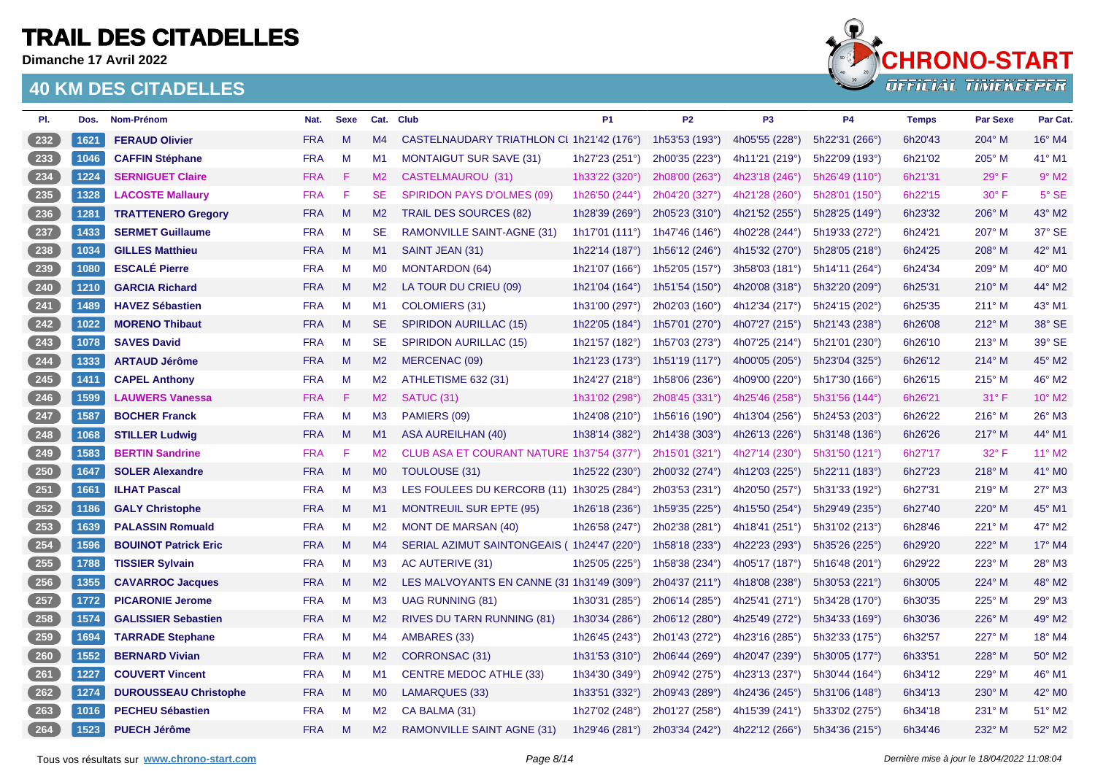**Dimanche 17 Avril 2022**

#### **40 KM DES CITADELLES**



| PI. | Dos. | Nom-Prénom                   | Nat.       | <b>Sexe</b>  |                | Cat. Club                                  | <b>P1</b>                 | P <sub>2</sub>            | P <sub>3</sub> | <b>P4</b>      | <b>Temps</b> | <b>Par Sexe</b> | Par Cat.            |
|-----|------|------------------------------|------------|--------------|----------------|--------------------------------------------|---------------------------|---------------------------|----------------|----------------|--------------|-----------------|---------------------|
| 232 | 1621 | <b>FERAUD Olivier</b>        | <b>FRA</b> | M            | M4             | CASTELNAUDARY TRIATHLON CI 1h21'42 (176°)  |                           | 1h53'53 (193°)            | 4h05'55 (228°) | 5h22'31 (266°) | 6h20'43      | 204° M          | 16° M4              |
| 233 | 1046 | <b>CAFFIN Stéphane</b>       | <b>FRA</b> | M            | M1             | <b>MONTAIGUT SUR SAVE (31)</b>             | 1h27'23 (251°)            | 2h00'35 (223°)            | 4h11'21 (219°) | 5h22'09 (193°) | 6h21'02      | 205° M          | 41° M1              |
| 234 | 1224 | <b>SERNIGUET Claire</b>      | <b>FRA</b> | F            | M2             | CASTELMAUROU (31)                          | 1h33'22 (320°)            | 2h08'00 (263°)            | 4h23'18 (246°) | 5h26'49 (110°) | 6h21'31      | $29^\circ$ F    | $9°$ M <sub>2</sub> |
| 235 | 1328 | <b>LACOSTE Mallaury</b>      | <b>FRA</b> | F            | <b>SE</b>      | <b>SPIRIDON PAYS D'OLMES (09)</b>          | 1h26'50 (244°)            | 2h04'20 (327°)            | 4h21'28 (260°) | 5h28'01 (150°) | 6h22'15      | $30^\circ$ F    | $5^\circ$ SE        |
| 236 | 1281 | <b>TRATTENERO Gregory</b>    | <b>FRA</b> | $\mathsf{M}$ | M2             | <b>TRAIL DES SOURCES (82)</b>              | 1h28'39 (269°)            | 2h05'23 (310°)            | 4h21'52 (255°) | 5h28'25 (149°) | 6h23'32      | 206° M          | 43° M2              |
| 237 | 1433 | <b>SERMET Guillaume</b>      | <b>FRA</b> | M            | <b>SE</b>      | RAMONVILLE SAINT-AGNE (31)                 | 1h17'01 $(111°)$          | 1h47'46 (146°)            | 4h02'28 (244°) | 5h19'33 (272°) | 6h24'21      | 207° M          | 37° SE              |
| 238 | 1034 | <b>GILLES Matthieu</b>       | <b>FRA</b> | M            | M1             | SAINT JEAN (31)                            | 1h22'14 $(187°)$          | 1h56'12 $(246°)$          | 4h15'32 (270°) | 5h28'05 (218°) | 6h24'25      | 208° M          | 42° M1              |
| 239 | 1080 | <b>ESCALÉ Pierre</b>         | <b>FRA</b> | M            | M <sub>0</sub> | <b>MONTARDON (64)</b>                      | 1h21'07 (166°)            | 1h52'05 (157°)            | 3h58'03(181°)  | 5h14'11 (264°) | 6h24'34      | 209° M          | 40° M0              |
| 240 | 1210 | <b>GARCIA Richard</b>        | <b>FRA</b> | $M_{\odot}$  | M <sub>2</sub> | LA TOUR DU CRIEU (09)                      | 1h21'04 (164°)            | 1h51'54 (150°)            | 4h20'08 (318°) | 5h32'20 (209°) | 6h25'31      | $210^\circ$ M   | 44° M2              |
| 241 | 1489 | <b>HAVEZ Sébastien</b>       | <b>FRA</b> | M            | M1             | COLOMIERS (31)                             | 1h31'00 (297°)            | 2h02'03 (160°)            | 4h12'34 (217°) | 5h24'15 (202°) | 6h25'35      | $211^\circ$ M   | 43° M1              |
| 242 | 1022 | <b>MORENO Thibaut</b>        | <b>FRA</b> | M            | <b>SE</b>      | <b>SPIRIDON AURILLAC (15)</b>              | 1h22'05 (184°)            | 1h57'01 (270 $^{\circ}$ ) | 4h07'27 (215°) | 5h21'43 (238°) | 6h26'08      | $212^\circ$ M   | 38° SE              |
| 243 | 1078 | <b>SAVES David</b>           | <b>FRA</b> | M            | <b>SE</b>      | <b>SPIRIDON AURILLAC (15)</b>              | 1h21'57 (182°)            | 1h57'03 (273°)            | 4h07'25 (214°) | 5h21'01 (230°) | 6h26'10      | $213^\circ$ M   | 39° SE              |
| 244 | 1333 | <b>ARTAUD Jérôme</b>         | <b>FRA</b> | $M_{\odot}$  | M2             | MERCENAC (09)                              | 1h21'23 (173°)            | 1h51'19 (117°)            | 4h00'05 (205°) | 5h23'04 (325°) | 6h26'12      | 214° M          | 45° M2              |
| 245 | 1411 | <b>CAPEL Anthony</b>         | <b>FRA</b> | M            | M <sub>2</sub> | ATHLETISME 632 (31)                        | 1h24'27 (218 $^{\circ}$ ) | 1h58'06 (236°)            | 4h09'00 (220°) | 5h17'30 (166°) | 6h26'15      | $215^\circ$ M   | 46° M2              |
| 246 | 1599 | <b>LAUWERS Vanessa</b>       | <b>FRA</b> | F            | M2             | SATUC (31)                                 | 1h31'02 (298°)            | 2h08'45 (331°)            | 4h25'46 (258°) | 5h31'56 (144°) | 6h26'21      | $31^\circ$ F    | 10° M2              |
| 247 | 1587 | <b>BOCHER Franck</b>         | <b>FRA</b> | M            | M3             | PAMIERS (09)                               | 1h24'08 (210°)            | 1h56'16 (190°)            | 4h13'04 (256°) | 5h24'53 (203°) | 6h26'22      | 216° M          | 26° M3              |
| 248 | 1068 | <b>STILLER Ludwig</b>        | <b>FRA</b> | $M_{\odot}$  | M1             | <b>ASA AUREILHAN (40)</b>                  | 1h38'14 (382°)            | 2h14'38 (303°)            | 4h26'13 (226°) | 5h31'48 (136°) | 6h26'26      | 217° M          | 44° M1              |
| 249 | 1583 | <b>BERTIN Sandrine</b>       | <b>FRA</b> | F            | M <sub>2</sub> | CLUB ASA ET COURANT NATURE 1h37'54 (377°)  |                           | 2h15'01 (321°)            | 4h27'14 (230°) | 5h31'50 (121°) | 6h27'17      | 32° F           | 11° M2              |
| 250 | 1647 | <b>SOLER Alexandre</b>       | <b>FRA</b> | $M_{\odot}$  | M <sub>0</sub> | <b>TOULOUSE (31)</b>                       | 1h25'22 (230°)            | 2h00'32 (274°)            | 4h12'03 (225°) | 5h22'11 (183°) | 6h27'23      | 218° M          | 41° MO              |
| 251 | 1661 | <b>ILHAT Pascal</b>          | <b>FRA</b> | $\mathsf{M}$ | MЗ             | LES FOULEES DU KERCORB (11) 1h30'25 (284°) |                           | 2h03'53 (231°)            | 4h20'50 (257°) | 5h31'33 (192°) | 6h27'31      | 219° M          | 27° M3              |
| 252 | 1186 | <b>GALY Christophe</b>       | <b>FRA</b> | M            | M1             | <b>MONTREUIL SUR EPTE (95)</b>             | 1h26'18 (236°)            | 1h59'35 (225°)            | 4h15'50 (254°) | 5h29'49 (235°) | 6h27'40      | 220° M          | 45° M1              |
| 253 | 1639 | <b>PALASSIN Romuald</b>      | <b>FRA</b> | M            | M <sub>2</sub> | <b>MONT DE MARSAN (40)</b>                 | 1h26'58 (247°)            | 2h02'38 (281°)            | 4h18'41 (251°) | 5h31'02 (213°) | 6h28'46      | 221° M          | 47° M2              |
| 254 | 1596 | <b>BOUINOT Patrick Eric</b>  | <b>FRA</b> | $\mathsf{M}$ | M4             | SERIAL AZIMUT SAINTONGEAIS (1h24'47 (220°) |                           | 1h58'18 (233°)            | 4h22'23 (293°) | 5h35'26 (225°) | 6h29'20      | 222° M          | 17° M4              |
| 255 | 1788 | <b>TISSIER Sylvain</b>       | <b>FRA</b> | M            | M <sub>3</sub> | AC AUTERIVE (31)                           | 1h25'05 (225°)            | 1h58'38 (234°)            | 4h05'17 (187°) | 5h16'48 (201°) | 6h29'22      | 223° M          | 28° M3              |
| 256 | 1355 | <b>CAVARROC Jacques</b>      | <b>FRA</b> | M            | M <sub>2</sub> | LES MALVOYANTS EN CANNE (31 1h31'49 (309°) |                           | 2h04'37 (211°)            | 4h18'08 (238°) | 5h30'53 (221°) | 6h30'05      | 224° M          | 48° M2              |
| 257 | 1772 | <b>PICARONIE Jerome</b>      | <b>FRA</b> | M            | M3             | <b>UAG RUNNING (81)</b>                    | 1h30'31 (285°)            | 2h06'14 (285°)            | 4h25'41 (271°) | 5h34'28 (170°) | 6h30'35      | 225° M          | 29° M3              |
| 258 | 1574 | <b>GALISSIER Sebastien</b>   | <b>FRA</b> | $M_{\odot}$  | M <sub>2</sub> | RIVES DU TARN RUNNING (81)                 | 1h30'34 (286°)            | 2h06'12 (280°)            | 4h25'49 (272°) | 5h34'33 (169°) | 6h30'36      | 226° M          | 49° M2              |
| 259 | 1694 | <b>TARRADE Stephane</b>      | <b>FRA</b> | M            | M4             | AMBARES (33)                               | 1h26'45 (243°)            | 2h01'43 (272°)            | 4h23'16 (285°) | 5h32'33 (175°) | 6h32'57      | 227° M          | 18° M4              |
| 260 | 1552 | <b>BERNARD Vivian</b>        | <b>FRA</b> | M            | M2             | CORRONSAC (31)                             | 1h31'53 $(310^{\circ})$   | 2h06'44 (269°)            | 4h20'47 (239°) | 5h30'05 (177°) | 6h33'51      | 228° M          | 50° M2              |
| 261 | 1227 | <b>COUVERT Vincent</b>       | <b>FRA</b> | M            | M1             | <b>CENTRE MEDOC ATHLE (33)</b>             | 1h34'30 (349°)            | 2h09'42 (275°)            | 4h23'13 (237°) | 5h30'44 (164°) | 6h34'12      | 229° M          | 46° M1              |
| 262 | 1274 | <b>DUROUSSEAU Christophe</b> | <b>FRA</b> | - M          | M <sub>0</sub> | LAMARQUES (33)                             | 1h33'51 (332°)            | 2h09'43 (289°)            | 4h24'36 (245°) | 5h31'06 (148°) | 6h34'13      | $230^\circ$ M   | 42° M0              |
| 263 | 1016 | <b>PECHEU Sébastien</b>      | <b>FRA</b> | M            | M <sub>2</sub> | CA BALMA (31)                              | 1h27'02 (248°)            | 2h01'27 (258°)            | 4h15'39 (241°) | 5h33'02 (275°) | 6h34'18      | 231° M          | 51° M2              |
| 264 | 1523 | <b>PUECH Jérôme</b>          | <b>FRA</b> | M            | M <sub>2</sub> | RAMONVILLE SAINT AGNE (31)                 | 1h29'46 (281°)            | 2h03'34 (242°)            | 4h22'12 (266°) | 5h34'36 (215°) | 6h34'46      | 232° M          | 52° M2              |

l,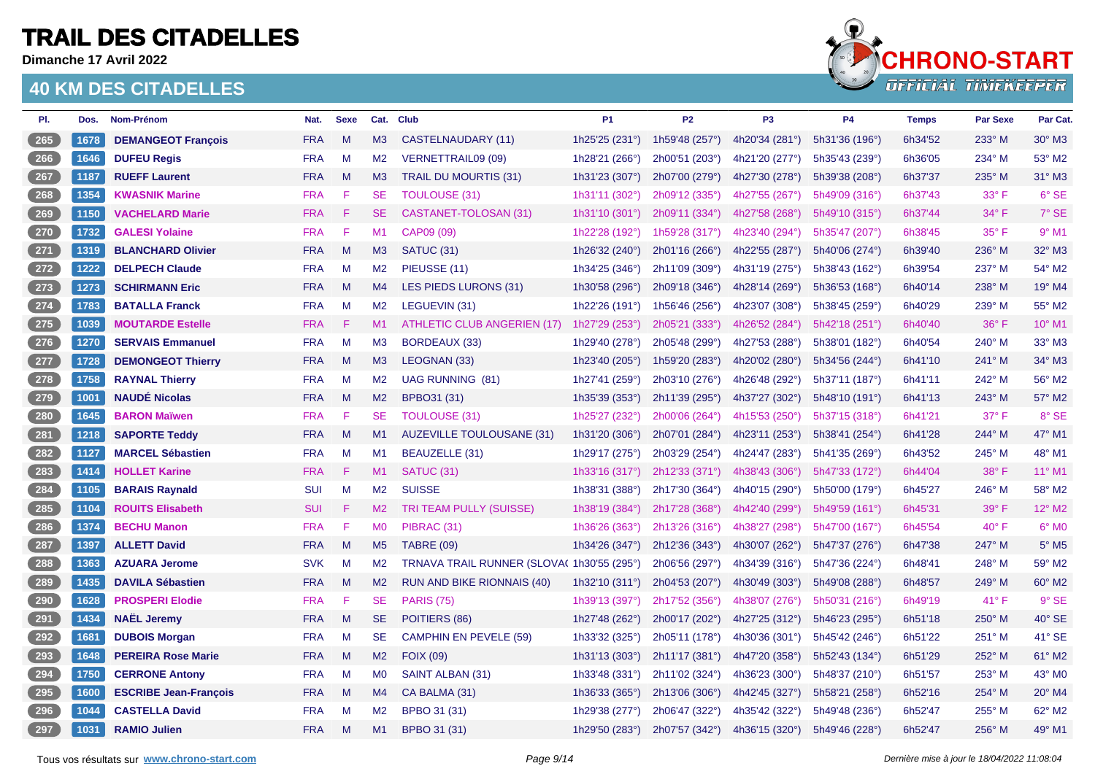**Dimanche 17 Avril 2022**



| PI.   | Dos. | Nom-Prénom                   | Nat.       | <b>Sexe</b> |                | Cat. Club                                  | P <sub>1</sub>          | P <sub>2</sub> | P <sub>3</sub> | <b>P4</b>      | <b>Temps</b> | <b>Par Sexe</b> | Par Cat.                 |
|-------|------|------------------------------|------------|-------------|----------------|--------------------------------------------|-------------------------|----------------|----------------|----------------|--------------|-----------------|--------------------------|
| 265   | 1678 | <b>DEMANGEOT François</b>    | <b>FRA</b> | M           | M3             | CASTELNAUDARY (11)                         | 1h25'25 (231°)          | 1h59'48 (257°) | 4h20'34 (281°) | 5h31'36 (196°) | 6h34'52      | 233° M          | 30° M3                   |
| 266   | 1646 | <b>DUFEU Regis</b>           | <b>FRA</b> | M           | M <sub>2</sub> | <b>VERNETTRAIL09 (09)</b>                  | 1h28'21 (266°)          | 2h00'51 (203°) | 4h21'20 (277°) | 5h35'43 (239°) | 6h36'05      | 234° M          | 53° M2                   |
| $267$ | 1187 | <b>RUEFF Laurent</b>         | <b>FRA</b> | M           | M <sub>3</sub> | <b>TRAIL DU MOURTIS (31)</b>               | 1h31'23 (307°)          | 2h07'00 (279°) | 4h27'30 (278°) | 5h39'38 (208°) | 6h37'37      | 235° M          | 31° M3                   |
| 268   | 1354 | <b>KWASNIK Marine</b>        | <b>FRA</b> | F           | <b>SE</b>      | <b>TOULOUSE (31)</b>                       | 1h31'11 (302°)          | 2h09'12 (335°) | 4h27'55 (267°) | 5h49'09 (316°) | 6h37'43      | $33^\circ$ F    | 6° SE                    |
| 269   | 1150 | <b>VACHELARD Marie</b>       | <b>FRA</b> | F           | <b>SE</b>      | CASTANET-TOLOSAN (31)                      | 1h31'10 (301°)          | 2h09'11 (334°) | 4h27'58 (268°) | 5h49'10 (315°) | 6h37'44      | $34^\circ$ F    | 7° SE                    |
| 270   | 1732 | <b>GALESI Yolaine</b>        | <b>FRA</b> | F           | M1             | CAP09 (09)                                 | 1h22'28 (192°)          | 1h59'28 (317°) | 4h23'40 (294°) | 5h35'47 (207°) | 6h38'45      | 35° F           | $9°$ M1                  |
| $271$ | 1319 | <b>BLANCHARD Olivier</b>     | <b>FRA</b> | M           | M3             | SATUC (31)                                 | 1h26'32 (240°)          | 2h01'16 (266°) | 4h22'55 (287°) | 5h40'06 (274°) | 6h39'40      | 236° M          | 32° M3                   |
| 272   | 1222 | <b>DELPECH Claude</b>        | <b>FRA</b> | M           | M <sub>2</sub> | PIEUSSE (11)                               | 1h34'25 (346°)          | 2h11'09 (309°) | 4h31'19 (275°) | 5h38'43 (162°) | 6h39'54      | 237° M          | 54° M2                   |
| 273   | 1273 | <b>SCHIRMANN Eric</b>        | <b>FRA</b> | M           | M4             | LES PIEDS LURONS (31)                      | 1h30'58 (296°)          | 2h09'18 (346°) | 4h28'14 (269°) | 5h36'53 (168°) | 6h40'14      | 238° M          | 19° M4                   |
| $274$ | 1783 | <b>BATALLA Franck</b>        | <b>FRA</b> | M           | M <sub>2</sub> | LEGUEVIN (31)                              | 1h22'26 (191°)          | 1h56'46 (256°) | 4h23'07 (308°) | 5h38'45 (259°) | 6h40'29      | 239° M          | 55° M2                   |
| $275$ | 1039 | <b>MOUTARDE Estelle</b>      | <b>FRA</b> | F           | M1             | ATHLETIC CLUB ANGERIEN (17)                | 1h27'29 (253°)          | 2h05'21 (333°) | 4h26'52 (284°) | 5h42'18 (251°) | 6h40'40      | $36^\circ$ F    | 10° M1                   |
| 276   | 1270 | <b>SERVAIS Emmanuel</b>      | <b>FRA</b> | M           | M <sub>3</sub> | BORDEAUX (33)                              | 1h29'40 (278°)          | 2h05'48 (299°) | 4h27'53 (288°) | 5h38'01 (182°) | 6h40'54      | 240° M          | 33° M3                   |
| $277$ | 1728 | <b>DEMONGEOT Thierry</b>     | <b>FRA</b> | M           | M3             | LEOGNAN (33)                               | 1h23'40 (205°)          | 1h59'20 (283°) | 4h20'02 (280°) | 5h34'56 (244°) | 6h41'10      | 241° M          | 34° M3                   |
| 278   | 1758 | <b>RAYNAL Thierry</b>        | <b>FRA</b> | M           | M <sub>2</sub> | <b>UAG RUNNING (81)</b>                    | 1h27'41 (259°)          | 2h03'10 (276°) | 4h26'48 (292°) | 5h37'11 (187°) | 6h41'11      | 242° M          | 56° M2                   |
| 279   | 1001 | <b>NAUDÉ Nicolas</b>         | <b>FRA</b> | M           | M2             | <b>BPBO31 (31)</b>                         | 1h35'39 (353°)          | 2h11'39 (295°) | 4h37'27 (302°) | 5h48'10 (191°) | 6h41'13      | 243° M          | 57° M2                   |
| 280   | 1645 | <b>BARON Maïwen</b>          | <b>FRA</b> | F           | <b>SE</b>      | <b>TOULOUSE (31)</b>                       | 1h25'27 (232°)          | 2h00'06 (264°) | 4h15'53 (250°) | 5h37'15 (318°) | 6h41'21      | $37^\circ$ F    | 8° SE                    |
| 281   | 1218 | <b>SAPORTE Teddy</b>         | <b>FRA</b> | M           | M1             | <b>AUZEVILLE TOULOUSANE (31)</b>           | 1h31'20 (306°)          | 2h07'01 (284°) | 4h23'11 (253°) | 5h38'41 (254°) | 6h41'28      | 244° M          | 47° M1                   |
| 282   | 1127 | <b>MARCEL Sébastien</b>      | <b>FRA</b> | M           | M1             | BEAUZELLE (31)                             | 1h29'17 (275°)          | 2h03'29 (254°) | 4h24'47 (283°) | 5h41'35 (269°) | 6h43'52      | 245° M          | 48° M1                   |
| $283$ | 1414 | <b>HOLLET Karine</b>         | <b>FRA</b> | F           | M1             | SATUC (31)                                 | 1h33'16 (317°)          | 2h12'33 (371°) | 4h38'43 (306°) | 5h47'33 (172°) | 6h44'04      | 38° F           | 11° M1                   |
| 284   | 1105 | <b>BARAIS Raynald</b>        | <b>SUI</b> | M           | M2             | <b>SUISSE</b>                              | 1h38'31 (388°)          | 2h17'30 (364°) | 4h40'15 (290°) | 5h50'00 (179°) | 6h45'27      | 246° M          | 58° M2                   |
| $285$ | 1104 | <b>ROUITS Elisabeth</b>      | <b>SUI</b> | F           | M2             | TRI TEAM PULLY (SUISSE)                    | 1h38'19 (384°)          | 2h17'28 (368°) | 4h42'40 (299°) | 5h49'59 (161°) | 6h45'31      | 39° F           | 12° M2                   |
| 286   | 1374 | <b>BECHU Manon</b>           | <b>FRA</b> | F           | M <sub>0</sub> | PIBRAC (31)                                | 1h36'26 (363°)          | 2h13'26 (316°) | 4h38'27 (298°) | 5h47'00 (167°) | 6h45'54      | $40^{\circ}$ F  | $6^\circ$ MO             |
| 287   | 1397 | <b>ALLETT David</b>          | <b>FRA</b> | M           | M <sub>5</sub> | <b>TABRE (09)</b>                          | 1h34'26 (347°)          | 2h12'36 (343°) | 4h30'07 (262°) | 5h47'37 (276°) | 6h47'38      | 247° M          | $5^\circ$ M <sub>5</sub> |
| 288   | 1363 | <b>AZUARA Jerome</b>         | <b>SVK</b> | M           | M <sub>2</sub> | TRNAVA TRAIL RUNNER (SLOVA) 1h30'55 (295°) |                         | 2h06'56 (297°) | 4h34'39 (316°) | 5h47'36 (224°) | 6h48'41      | 248° M          | 59° M2                   |
| 289   | 1435 | <b>DAVILA Sébastien</b>      | <b>FRA</b> | M           | M2             | <b>RUN AND BIKE RIONNAIS (40)</b>          | 1h32'10 $(311°)$        | 2h04'53 (207°) | 4h30'49 (303°) | 5h49'08 (288°) | 6h48'57      | 249° M          | 60° M2                   |
| 290   | 1628 | <b>PROSPERI Elodie</b>       | <b>FRA</b> | F           | <b>SE</b>      | <b>PARIS (75)</b>                          | 1h39'13 (397°)          | 2h17'52 (356°) | 4h38'07 (276°) | 5h50'31 (216°) | 6h49'19      | $41^{\circ}$ F  | $9°$ SE                  |
| 291   | 1434 | <b>NAËL Jeremy</b>           | <b>FRA</b> | M           | <b>SE</b>      | POITIERS (86)                              | 1h27'48 (262°)          | 2h00'17 (202°) | 4h27'25 (312°) | 5h46'23 (295°) | 6h51'18      | 250° M          | 40° SE                   |
| 292   | 1681 | <b>DUBOIS Morgan</b>         | <b>FRA</b> | M           | <b>SE</b>      | <b>CAMPHIN EN PEVELE (59)</b>              | 1h33'32 (325°)          | 2h05'11 (178°) | 4h30'36 (301°) | 5h45'42 (246°) | 6h51'22      | 251° M          | 41° SE                   |
| $293$ | 1648 | <b>PEREIRA Rose Marie</b>    | <b>FRA</b> | M           | M2             | <b>FOIX (09)</b>                           | 1h31'13 $(303^{\circ})$ | 2h11'17 (381°) | 4h47'20 (358°) | 5h52'43 (134°) | 6h51'29      | 252° M          | 61° M2                   |
| 294   | 1750 | <b>CERRONE Antony</b>        | <b>FRA</b> | M           | M <sub>0</sub> | SAINT ALBAN (31)                           | 1h33'48 (331°)          | 2h11'02 (324°) | 4h36'23 (300°) | 5h48'37 (210°) | 6h51'57      | 253° M          | 43° MO                   |
| 295   | 1600 | <b>ESCRIBE Jean-François</b> | <b>FRA</b> | M           | M4             | CA BALMA (31)                              | 1h36'33 (365°)          | 2h13'06 (306°) | 4h42'45 (327°) | 5h58'21 (258°) | 6h52'16      | 254° M          | 20° M4                   |
| 296   | 1044 | <b>CASTELLA David</b>        | <b>FRA</b> | M           | M <sub>2</sub> | BPBO 31 (31)                               | 1h29'38 (277°)          | 2h06'47 (322°) | 4h35'42 (322°) | 5h49'48 (236°) | 6h52'47      | 255° M          | 62° M2                   |
| 297   | 1031 | <b>RAMIO Julien</b>          | <b>FRA</b> | M           | M1             | BPBO 31 (31)                               | 1h29'50 (283°)          | 2h07'57 (342°) | 4h36'15 (320°) | 5h49'46 (228°) | 6h52'47      | 256° M          | 49° M1                   |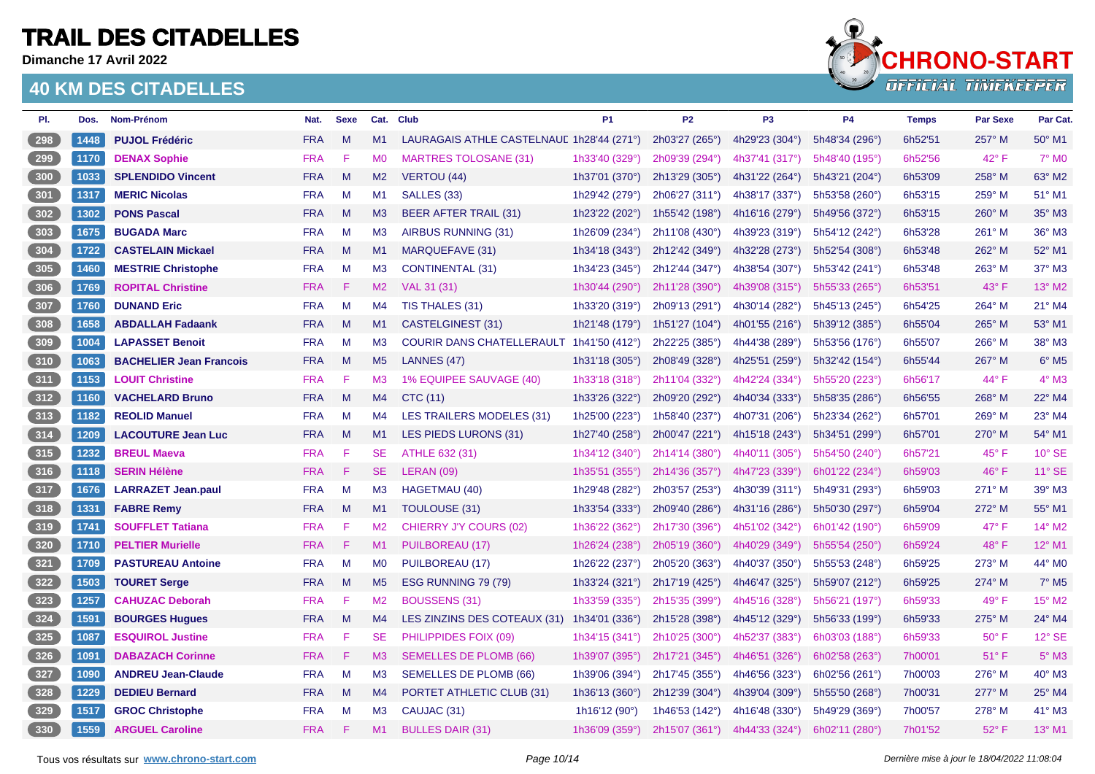**Dimanche 17 Avril 2022**

### **40 KM DES CITADELLES**



| PI.   | Dos. | Nom-Prénom                     | Nat.       | <b>Sexe</b> |                | Cat. Club                                 | <b>P1</b>                | <b>P2</b>                 | P <sub>3</sub>            | <b>P4</b>      | <b>Temps</b> | Par Sexe       | Par Cat.                    |
|-------|------|--------------------------------|------------|-------------|----------------|-------------------------------------------|--------------------------|---------------------------|---------------------------|----------------|--------------|----------------|-----------------------------|
| 298   | 1448 | <b>PUJOL Frédéric</b>          | <b>FRA</b> | M           | M1             | LAURAGAIS ATHLE CASTELNAUL 1h28'44 (271°) |                          | 2h03'27 (265°)            | 4h29'23 (304°)            | 5h48'34 (296°) | 6h52'51      | 257° M         | 50° M1                      |
| 299   | 1170 | <b>DENAX Sophie</b>            | <b>FRA</b> | F           | M <sub>0</sub> | <b>MARTRES TOLOSANE (31)</b>              | 1h33'40 (329°)           | 2h09'39 (294°)            | 4h37'41 (317°)            | 5h48'40 (195°) | 6h52'56      | 42° F          | $7^\circ$ MO                |
| 300   | 1033 | <b>SPLENDIDO Vincent</b>       | <b>FRA</b> | M           | M2             | <b>VERTOU (44)</b>                        | 1h37'01 (370°)           | 2h13'29 (305°)            | 4h31'22 (264°)            | 5h43'21 (204°) | 6h53'09      | 258° M         | 63° M2                      |
| 301   | 1317 | <b>MERIC Nicolas</b>           | <b>FRA</b> | M           | M1             | SALLES (33)                               | 1h29'42 (279°)           | 2h06'27 (311°)            | 4h38'17 (337°)            | 5h53'58 (260°) | 6h53'15      | 259° M         | 51° M1                      |
| 302   | 1302 | <b>PONS Pascal</b>             | <b>FRA</b> | M           | M3             | <b>BEER AFTER TRAIL (31)</b>              | 1h23'22 (202°)           | 1h55'42 (198°)            | 4h16'16 (279°)            | 5h49'56 (372°) | 6h53'15      | $260^\circ$ M  | 35° M3                      |
| $303$ | 1675 | <b>BUGADA Marc</b>             | <b>FRA</b> | M           | M <sub>3</sub> | AIRBUS RUNNING (31)                       | 1h26'09 (234°)           | 2h11'08 (430°)            | 4h39'23 (319°)            | 5h54'12 (242°) | 6h53'28      | $261^\circ$ M  | 36° M3                      |
| 304   | 1722 | <b>CASTELAIN Mickael</b>       | <b>FRA</b> | M           | M1             | <b>MARQUEFAVE (31)</b>                    | 1h34'18 (343°)           | 2h12'42 (349°)            | 4h32'28 (273°)            | 5h52'54 (308°) | 6h53'48      | 262° M         | 52° M1                      |
| $305$ | 1460 | <b>MESTRIE Christophe</b>      | <b>FRA</b> | M           | M3             | <b>CONTINENTAL (31)</b>                   | 1h34'23 (345°)           | 2h12'44 (347°)            | 4h38'54 (307°)            | 5h53'42 (241°) | 6h53'48      | 263° M         | 37° M3                      |
| 306   | 1769 | <b>ROPITAL Christine</b>       | <b>FRA</b> | F           | M2             | VAL 31 (31)                               | 1h30'44 (290°)           | 2h11'28 (390°)            | 4h39'08 (315°)            | 5h55'33 (265°) | 6h53'51      | $43^\circ$ F   | $13^{\circ}$ M <sub>2</sub> |
| 307   | 1760 | <b>DUNAND Eric</b>             | <b>FRA</b> | M           | M4             | TIS THALES (31)                           | 1h33'20 (319°)           | 2h09'13 (291°)            | 4h30'14 (282°)            | 5h45'13 (245°) | 6h54'25      | 264° M         | 21° M4                      |
| 308   | 1658 | <b>ABDALLAH Fadaank</b>        | <b>FRA</b> | M           | M1             | CASTELGINEST (31)                         | 1h21'48 (179°)           | 1h51'27 (104 $^{\circ}$ ) | 4h01'55 (216°)            | 5h39'12 (385°) | 6h55'04      | 265° M         | 53° M1                      |
| 309   | 1004 | <b>LAPASSET Benoit</b>         | <b>FRA</b> | M           | MЗ             | COURIR DANS CHATELLERAULT 1h41'50 (412°)  |                          | 2h22'25 (385°)            | 4h44'38 (289°)            | 5h53'56 (176°) | 6h55'07      | 266° M         | 38° M3                      |
| 310   | 1063 | <b>BACHELIER Jean Francois</b> | <b>FRA</b> | M           | M <sub>5</sub> | LANNES (47)                               | 1h31'18 $(305^\circ)$    | 2h08'49 (328°)            | 4h25'51 (259 $^{\circ}$ ) | 5h32'42 (154°) | 6h55'44      | 267° M         | $6^\circ$ M <sub>5</sub>    |
| 311   | 1153 | <b>LOUIT Christine</b>         | <b>FRA</b> | F           | M <sub>3</sub> | 1% EQUIPEE SAUVAGE (40)                   | 1h33'18 (318°)           | 2h11'04 (332°)            | 4h42'24 (334°)            | 5h55'20 (223°) | 6h56'17      | 44° F          | $4^\circ$ M3                |
| 312   | 1160 | <b>VACHELARD Bruno</b>         | <b>FRA</b> | M           | M4             | CTC (11)                                  | 1h33'26 (322°)           | 2h09'20 (292°)            | 4h40'34 (333°)            | 5h58'35 (286°) | 6h56'55      | 268° M         | 22° M4                      |
| $313$ | 1182 | <b>REOLID Manuel</b>           | <b>FRA</b> | M           | M4             | <b>LES TRAILERS MODELES (31)</b>          | 1h25'00 (223°)           | 1h58'40 (237°)            | 4h07'31 (206°)            | 5h23'34 (262°) | 6h57'01      | 269° M         | 23° M4                      |
| 314   | 1209 | <b>LACOUTURE Jean Luc</b>      | <b>FRA</b> | M           | M1             | LES PIEDS LURONS (31)                     | 1h27'40 (258°)           | 2h00'47 (221°)            | 4h15'18 (243°)            | 5h34'51 (299°) | 6h57'01      | 270° M         | 54° M1                      |
| 315   | 1232 | <b>BREUL Maeva</b>             | <b>FRA</b> | F           | <b>SE</b>      | ATHLE 632 (31)                            | 1h34'12 (340°)           | 2h14'14 (380°)            | 4h40'11 (305°)            | 5h54'50 (240°) | 6h57'21      | $45^{\circ}$ F | $10^{\circ}$ SE             |
| 316   | 1118 | <b>SERIN Hélène</b>            | <b>FRA</b> | F           | SE.            | LERAN (09)                                | 1h35'51 (355°)           | 2h14'36 (357°)            | 4h47'23 (339°)            | 6h01'22 (234°) | 6h59'03      | 46°F           | 11° SE                      |
| 317   | 1676 | <b>LARRAZET Jean.paul</b>      | <b>FRA</b> | M           | M3             | HAGETMAU (40)                             | 1h29'48 (282°)           | 2h03'57 (253°)            | 4h30'39 (311°)            | 5h49'31 (293°) | 6h59'03      | 271° M         | 39° M3                      |
| 318   | 1331 | <b>FABRE Remy</b>              | <b>FRA</b> | M           | M1             | <b>TOULOUSE (31)</b>                      | 1h33'54 (333°)           | 2h09'40 (286°)            | 4h31'16 (286°)            | 5h50'30 (297°) | 6h59'04      | 272° M         | 55° M1                      |
| $319$ | 1741 | <b>SOUFFLET Tatiana</b>        | <b>FRA</b> | F           | M <sub>2</sub> | CHIERRY J'Y COURS (02)                    | 1h36'22 (362°)           | 2h17'30 (396°)            | 4h51'02 (342°)            | 6h01'42(190°)  | 6h59'09      | $47^{\circ}$ F | 14° M2                      |
| 320   | 1710 | <b>PELTIER Murielle</b>        | <b>FRA</b> | F           | M1             | PUILBOREAU (17)                           | 1h26'24 (238°)           | 2h05'19 (360°)            | 4h40'29 (349°)            | 5h55'54 (250°) | 6h59'24      | 48°F           | $12^{\circ}$ M1             |
| $321$ | 1709 | <b>PASTUREAU Antoine</b>       | <b>FRA</b> | M           | M <sub>0</sub> | PUILBOREAU (17)                           | 1h26'22 (237°)           | 2h05'20 (363°)            | 4h40'37 (350°)            | 5h55'53 (248°) | 6h59'25      | 273° M         | 44° MO                      |
| 322   | 1503 | <b>TOURET Serge</b>            | <b>FRA</b> | M           | M <sub>5</sub> | ESG RUNNING 79 (79)                       | 1h33'24 (321°)           | 2h17'19 (425°)            | 4h46'47 (325°)            | 5h59'07 (212°) | 6h59'25      | 274° M         | $7°$ M <sub>5</sub>         |
| $323$ | 1257 | <b>CAHUZAC Deborah</b>         | <b>FRA</b> | F           | M <sub>2</sub> | <b>BOUSSENS (31)</b>                      | 1h33'59 (335°)           | 2h15'35 (399°)            | 4h45'16 (328°)            | 5h56'21 (197°) | 6h59'33      | 49° F          | 15° M2                      |
| $324$ | 1591 | <b>BOURGES Hugues</b>          | <b>FRA</b> | M           | M4             | LES ZINZINS DES COTEAUX (31)              | 1h34'01 (336°)           | 2h15'28 (398°)            | 4h45'12 (329°)            | 5h56'33 (199°) | 6h59'33      | 275° M         | 24° M4                      |
| $325$ | 1087 | <b>ESQUIROL Justine</b>        | <b>FRA</b> | F           | <b>SE</b>      | PHILIPPIDES FOIX (09)                     | 1h34'15 (341°)           | 2h10'25 (300°)            | 4h52'37 (383°)            | 6h03'03 (188°) | 6h59'33      | $50^\circ$ F   | 12° SE                      |
| 326   | 1091 | <b>DABAZACH Corinne</b>        | <b>FRA</b> | F           | M3             | <b>SEMELLES DE PLOMB (66)</b>             | 1h39'07 (395°)           | 2h17'21 (345°)            | 4h46'51 (326°)            | 6h02'58 (263°) | 7h00'01      | $51^{\circ}$ F | $5^\circ$ M3                |
| 327   | 1090 | <b>ANDREU Jean-Claude</b>      | <b>FRA</b> | M           | M <sub>3</sub> | SEMELLES DE PLOMB (66)                    | 1h39'06 (394°)           | 2h17'45 (355°)            | 4h46'56 (323°)            | 6h02'56 (261°) | 7h00'03      | 276° M         | 40° M3                      |
| 328   | 1229 | <b>DEDIEU Bernard</b>          | <b>FRA</b> | M           | M <sub>4</sub> | PORTET ATHLETIC CLUB (31)                 | 1h36'13 (360°)           | 2h12'39 (304°)            | 4h39'04 (309°)            | 5h55'50 (268°) | 7h00'31      | $277^\circ$ M  | 25° M4                      |
| $329$ | 1517 | <b>GROC Christophe</b>         | <b>FRA</b> | M           | M <sub>3</sub> | CAUJAC (31)                               | 1h16'12 (90 $^{\circ}$ ) | 1h46'53 (142°)            | 4h16'48 (330°)            | 5h49'29 (369°) | 7h00'57      | 278° M         | 41° M3                      |
| 330   | 1559 | <b>ARGUEL Caroline</b>         | <b>FRA</b> | F           | M1             | <b>BULLES DAIR (31)</b>                   | 1h36'09 (359°)           | 2h15'07 (361°)            | 4h44'33 (324°)            | 6h02'11 (280°) | 7h01'52      | 52° F          | 13° M1                      |

Tous vos résultats sur [www.chrono-start.com](https://www.chrono-start.com/) **Carrier and Carrier and Carrier Carrier en Carrier and Carrier and Page 10/14** Dernière mise à jour le 18/04/2022 11:08:04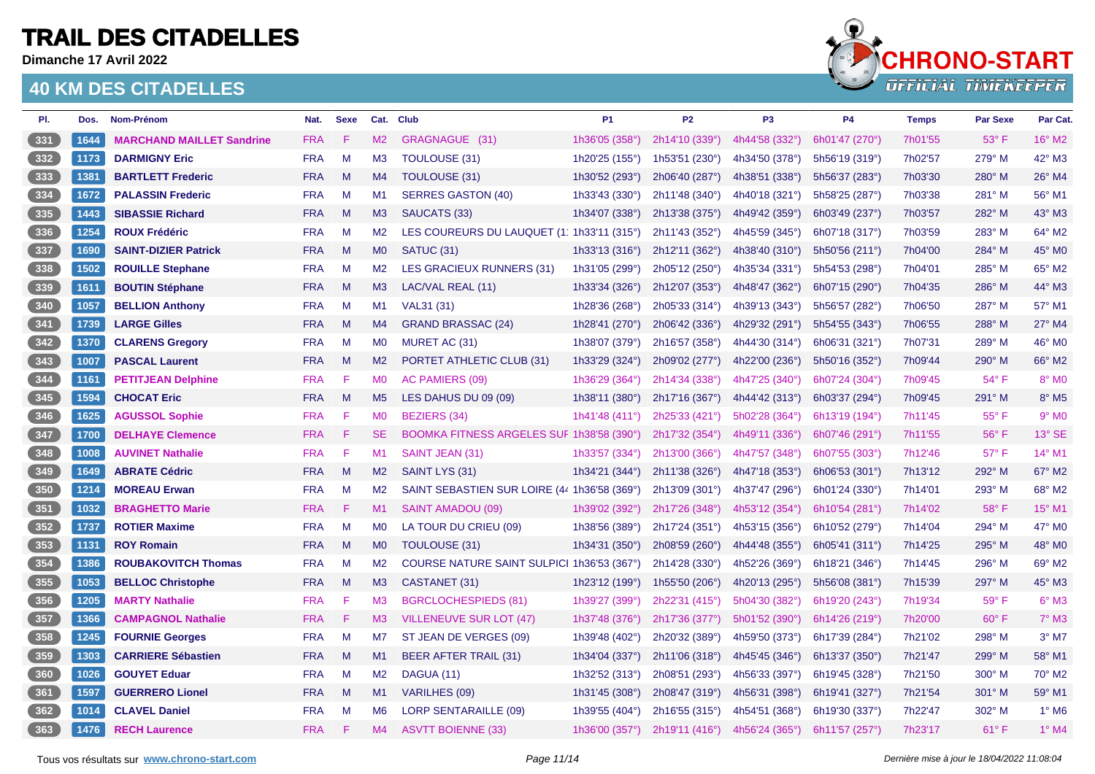**Dimanche 17 Avril 2022**



| PI.   | Dos. | Nom-Prénom                       | Nat.       | <b>Sexe</b> |                | Cat. Club                                     | P <sub>1</sub>          | <b>P2</b>      | P <sub>3</sub> | <b>P4</b>      | <b>Temps</b> | <b>Par Sexe</b> | Par Cat.            |
|-------|------|----------------------------------|------------|-------------|----------------|-----------------------------------------------|-------------------------|----------------|----------------|----------------|--------------|-----------------|---------------------|
| 331   | 1644 | <b>MARCHAND MAILLET Sandrine</b> | <b>FRA</b> | F           | M2             | GRAGNAGUE (31)                                | 1h36'05 (358°)          | 2h14'10 (339°) | 4h44'58 (332°) | 6h01'47 (270°) | 7h01'55      | $53^\circ$ F    | 16° M2              |
| 332   | 1173 | <b>DARMIGNY Eric</b>             | <b>FRA</b> | M           | M <sub>3</sub> | <b>TOULOUSE (31)</b>                          | 1h20'25 (155°)          | 1h53'51 (230°) | 4h34'50 (378°) | 5h56'19 (319°) | 7h02'57      | 279° M          | 42° M3              |
| 333   | 1381 | <b>BARTLETT Frederic</b>         | <b>FRA</b> | M           | M4             | <b>TOULOUSE (31)</b>                          | 1h30'52 (293°)          | 2h06'40 (287°) | 4h38'51 (338°) | 5h56'37 (283°) | 7h03'30      | 280° M          | 26° M4              |
| 334   | 1672 | <b>PALASSIN Frederic</b>         | <b>FRA</b> | M           | M1             | <b>SERRES GASTON (40)</b>                     | 1h33'43 (330°)          | 2h11'48 (340°) | 4h40'18 (321°) | 5h58'25 (287°) | 7h03'38      | 281° M          | 56° M1              |
| 335   | 1443 | <b>SIBASSIE Richard</b>          | <b>FRA</b> | M           | M3             | SAUCATS (33)                                  | 1h34'07 (338°)          | 2h13'38 (375°) | 4h49'42 (359°) | 6h03'49 (237°) | 7h03'57      | 282° M          | 43° M3              |
| 336   | 1254 | <b>ROUX Frédéric</b>             | <b>FRA</b> | M           | M <sub>2</sub> | LES COUREURS DU LAUQUET (1111) 1633/11 (315°) |                         | 2h11'43 (352°) | 4h45'59 (345°) | 6h07'18 (317°) | 7h03'59      | 283° M          | 64° M2              |
| 337   | 1690 | <b>SAINT-DIZIER Patrick</b>      | <b>FRA</b> | M           | M <sub>0</sub> | SATUC (31)                                    | 1h33'13 $(316°)$        | 2h12'11 (362°) | 4h38'40 (310°) | 5h50'56 (211°) | 7h04'00      | 284° M          | 45° MO              |
| 338   | 1502 | <b>ROUILLE Stephane</b>          | <b>FRA</b> | M           | M <sub>2</sub> | <b>LES GRACIEUX RUNNERS (31)</b>              | 1h31'05 (299°)          | 2h05'12 (250°) | 4h35'34 (331°) | 5h54'53 (298°) | 7h04'01      | 285° M          | 65° M2              |
| 339   | 1611 | <b>BOUTIN Stéphane</b>           | <b>FRA</b> | M           | M3             | LAC/VAL REAL (11)                             | 1h33'34 $(326^{\circ})$ | 2h12'07 (353°) | 4h48'47 (362°) | 6h07'15 (290°) | 7h04'35      | 286° M          | 44° M3              |
| 340   | 1057 | <b>BELLION Anthony</b>           | <b>FRA</b> | M           | M1             | VAL31 (31)                                    | 1h28'36 (268°)          | 2h05'33 (314°) | 4h39'13 (343°) | 5h56'57 (282°) | 7h06'50      | 287° M          | 57° M1              |
| 341   | 1739 | <b>LARGE Gilles</b>              | <b>FRA</b> | M           | M4             | <b>GRAND BRASSAC (24)</b>                     | 1h28'41 (270°)          | 2h06'42 (336°) | 4h29'32 (291°) | 5h54'55 (343°) | 7h06'55      | 288° M          | 27° M4              |
| 342   | 1370 | <b>CLARENS Gregory</b>           | <b>FRA</b> | M           | M <sub>0</sub> | MURET AC (31)                                 | 1h38'07 (379°)          | 2h16'57 (358°) | 4h44'30 (314°) | 6h06'31 (321°) | 7h07'31      | 289° M          | 46° M0              |
| $343$ | 1007 | <b>PASCAL Laurent</b>            | <b>FRA</b> | M           | M <sub>2</sub> | PORTET ATHLETIC CLUB (31)                     | 1h33'29 $(324^{\circ})$ | 2h09'02 (277°) | 4h22'00 (236°) | 5h50'16 (352°) | 7h09'44      | 290° M          | 66° M2              |
| 344   | 1161 | <b>PETITJEAN Delphine</b>        | <b>FRA</b> | F           | M <sub>0</sub> | <b>AC PAMIERS (09)</b>                        | 1h36'29 (364°)          | 2h14'34 (338°) | 4h47'25 (340°) | 6h07'24 (304°) | 7h09'45      | $54^{\circ}$ F  | 8° MO               |
| $345$ | 1594 | <b>CHOCAT Eric</b>               | <b>FRA</b> | M           | M <sub>5</sub> | LES DAHUS DU 09 (09)                          | 1h38'11 (380°)          | 2h17'16 (367°) | 4h44'42 (313°) | 6h03'37 (294°) | 7h09'45      | $291^\circ$ M   | 8° M5               |
| 346   | 1625 | <b>AGUSSOL Sophie</b>            | <b>FRA</b> | F           | M <sub>0</sub> | <b>BEZIERS (34)</b>                           | 1h41'48 (411°)          | 2h25'33 (421°) | 5h02'28 (364°) | 6h13'19 (194°) | 7h11'45      | $55^{\circ}$ F  | $9°$ M <sub>0</sub> |
| $347$ | 1700 | <b>DELHAYE Clemence</b>          | <b>FRA</b> | F           | <b>SE</b>      | BOOMKA FITNESS ARGELES SUF 1h38'58 (390°)     |                         | 2h17'32 (354°) | 4h49'11 (336°) | 6h07'46 (291°) | 7h11'55      | $56^{\circ}$ F  | 13° SE              |
| 348   | 1008 | <b>AUVINET Nathalie</b>          | <b>FRA</b> | -F          | M1             | SAINT JEAN (31)                               | 1h33'57 (334°)          | 2h13'00 (366°) | 4h47'57 (348°) | 6h07'55 (303°) | 7h12'46      | $57^\circ$ F    | 14° M1              |
| $349$ | 1649 | <b>ABRATE Cédric</b>             | <b>FRA</b> | M           | M2             | SAINT LYS (31)                                | 1h34'21 (344°)          | 2h11'38 (326°) | 4h47'18 (353°) | 6h06'53 (301°) | 7h13'12      | 292° M          | 67° M2              |
| 350   | 1214 | <b>MOREAU Erwan</b>              | <b>FRA</b> | M           | M2             | SAINT SEBASTIEN SUR LOIRE (44 1h36'58 (369°)  |                         | 2h13'09 (301°) | 4h37'47 (296°) | 6h01'24 (330°) | 7h14'01      | 293° M          | 68° M2              |
| $351$ | 1032 | <b>BRAGHETTO Marie</b>           | <b>FRA</b> | F           | M1             | SAINT AMADOU (09)                             | 1h39'02 (392°)          | 2h17'26 (348°) | 4h53'12 (354°) | 6h10'54 (281°) | 7h14'02      | 58°F            | 15° M1              |
| 352   | 1737 | <b>ROTIER Maxime</b>             | <b>FRA</b> | M           | M <sub>0</sub> | LA TOUR DU CRIEU (09)                         | 1h38'56 (389°)          | 2h17'24 (351°) | 4h53'15 (356°) | 6h10'52 (279°) | 7h14'04      | 294° M          | 47° M0              |
| $353$ | 1131 | <b>ROY Romain</b>                | <b>FRA</b> | M           | M <sub>0</sub> | <b>TOULOUSE (31)</b>                          | 1h34'31 (350°)          | 2h08'59 (260°) | 4h44'48 (355°) | 6h05'41 (311°) | 7h14'25      | 295° M          | 48° MO              |
| 354   | 1386 | <b>ROUBAKOVITCH Thomas</b>       | <b>FRA</b> | M           | M <sub>2</sub> | COURSE NATURE SAINT SULPICI 1h36'53 (367°)    |                         | 2h14'28 (330°) | 4h52'26 (369°) | 6h18'21 (346°) | 7h14'45      | 296° M          | 69° M2              |
| $355$ | 1053 | <b>BELLOC Christophe</b>         | <b>FRA</b> | M           | M3             | CASTANET (31)                                 | 1h23'12 (199°)          | 1h55'50 (206°) | 4h20'13 (295°) | 5h56'08 (381°) | 7h15'39      | 297° M          | 45° M3              |
| 356   | 1205 | <b>MARTY Nathalie</b>            | <b>FRA</b> | F           | M <sub>3</sub> | BGRCLOCHESPIEDS (81)                          | 1h39'27 (399°)          | 2h22'31 (415°) | 5h04'30 (382°) | 6h19'20 (243°) | 7h19'34      | $59^\circ$ F    | $6^\circ$ M3        |
| 357   | 1366 | <b>CAMPAGNOL Nathalie</b>        | <b>FRA</b> | F           | M3             | <b>VILLENEUVE SUR LOT (47)</b>                | 1h37'48 (376°)          | 2h17'36 (377°) | 5h01'52 (390°) | 6h14'26 (219°) | 7h20'00      | $60^\circ$ F    | $7^\circ$ M3        |
| 358   | 1245 | <b>FOURNIE Georges</b>           | <b>FRA</b> | M           | M7             | ST JEAN DE VERGES (09)                        | 1h39'48 (402°)          | 2h20'32 (389°) | 4h59'50 (373°) | 6h17'39 (284°) | 7h21'02      | 298° M          | $3°$ M7             |
| 359   | 1303 | <b>CARRIERE Sébastien</b>        | <b>FRA</b> | M           | M1             | <b>BEER AFTER TRAIL (31)</b>                  | 1h34'04 (337°)          | 2h11'06 (318°) | 4h45'45 (346°) | 6h13'37 (350°) | 7h21'47      | 299° M          | 58° M1              |
| 360   | 1026 | <b>GOUYET Eduar</b>              | <b>FRA</b> | M           | M2             | DAGUA (11)                                    | 1h32'52 (313°)          | 2h08'51 (293°) | 4h56'33 (397°) | 6h19'45 (328°) | 7h21'50      | 300° M          | 70° M2              |
| 361   | 1597 | <b>GUERRERO Lionel</b>           | <b>FRA</b> | M           | M1             | <b>VARILHES (09)</b>                          | 1h31'45 (308°)          | 2h08'47 (319°) | 4h56'31 (398°) | 6h19'41 (327°) | 7h21'54      | 301° M          | 59° M1              |
| 362   | 1014 | <b>CLAVEL Daniel</b>             | <b>FRA</b> | M           | M <sub>6</sub> | <b>LORP SENTARAILLE (09)</b>                  | 1h39'55 (404°)          | 2h16'55 (315°) | 4h54'51 (368°) | 6h19'30 (337°) | 7h22'47      | $302^\circ$ M   | $1^\circ$ M6        |
| 363   | 1476 | <b>RECH Laurence</b>             | <b>FRA</b> | F           | M4             | <b>ASVTT BOIENNE (33)</b>                     | 1h36'00 (357°)          | 2h19'11 (416°) | 4h56'24 (365°) | 6h11'57 (257°) | 7h23'17      | $61^\circ$ F    | $1^\circ$ M4        |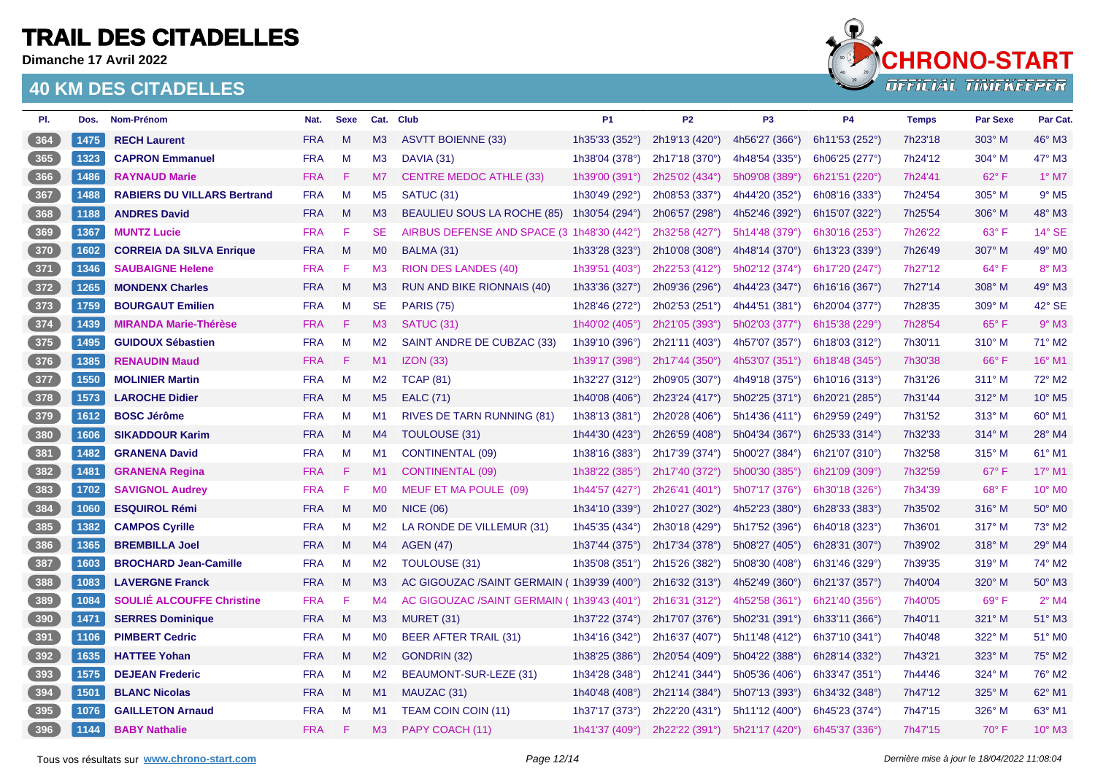**Dimanche 17 Avril 2022**



| PI.             | Dos. | Nom-Prénom                         | Nat.       | <b>Sexe</b> |                | Cat. Club                                  | P <sub>1</sub>            | P <sub>2</sub> | P <sub>3</sub>          | <b>P4</b>      | <b>Temps</b> | <b>Par Sexe</b> | Par Cat.            |
|-----------------|------|------------------------------------|------------|-------------|----------------|--------------------------------------------|---------------------------|----------------|-------------------------|----------------|--------------|-----------------|---------------------|
| $364$           | 1475 | <b>RECH Laurent</b>                | <b>FRA</b> | M           | M <sub>3</sub> | <b>ASVTT BOIENNE (33)</b>                  | 1h35'33 (352°)            | 2h19'13 (420°) | 4h56'27 (366°)          | 6h11'53 (252°) | 7h23'18      | 303° M          | 46° M3              |
| 365             | 1323 | <b>CAPRON Emmanuel</b>             | <b>FRA</b> | M           | M3             | DAVIA (31)                                 | 1h38'04 (378°)            | 2h17'18 (370°) | 4h48'54 (335°)          | 6h06'25 (277°) | 7h24'12      | 304° M          | 47° M3              |
| 366             | 1486 | <b>RAYNAUD Marie</b>               | <b>FRA</b> | F           | M <sub>7</sub> | <b>CENTRE MEDOC ATHLE (33)</b>             | 1h39'00 (391°)            | 2h25'02 (434°) | 5h09'08 (389°)          | 6h21'51 (220°) | 7h24'41      | 62° F           | $1^\circ$ M7        |
| 367             | 1488 | <b>RABIERS DU VILLARS Bertrand</b> | <b>FRA</b> | M           | M <sub>5</sub> | SATUC (31)                                 | 1h30'49 (292°)            | 2h08'53 (337°) | 4h44'20 (352°)          | 6h08'16 (333°) | 7h24'54      | $305^\circ$ M   | $9°$ M <sub>5</sub> |
| 368             | 1188 | <b>ANDRES David</b>                | <b>FRA</b> | M           | M <sub>3</sub> | <b>BEAULIEU SOUS LA ROCHE (85)</b>         | 1h30'54 (294°)            | 2h06'57 (298°) | 4h52'46 (392°)          | 6h15'07 (322°) | 7h25'54      | 306° M          | 48° M3              |
| 369             | 1367 | <b>MUNTZ Lucie</b>                 | <b>FRA</b> | F           | <b>SE</b>      | AIRBUS DEFENSE AND SPACE (3 1h48'30 (442°) |                           | 2h32'58 (427°) | 5h14'48 (379°)          | 6h30'16 (253°) | 7h26'22      | $63^\circ$ F    | 14° SE              |
| 370             | 1602 | <b>CORREIA DA SILVA Enrique</b>    | <b>FRA</b> | M           | <b>MO</b>      | BALMA (31)                                 | 1h33'28 (323°)            | 2h10'08 (308°) | 4h48'14 (370°)          | 6h13'23 (339°) | 7h26'49      | 307° M          | 49° M0              |
| $371$           | 1346 | <b>SAUBAIGNE Helene</b>            | <b>FRA</b> | F           | M <sub>3</sub> | <b>RION DES LANDES (40)</b>                | 1h39'51 (403°)            | 2h22'53 (412°) | 5h02'12 (374°)          | 6h17'20 (247°) | 7h27'12      | $64^{\circ}$ F  | $8^\circ$ M3        |
| 372             | 1265 | <b>MONDENX Charles</b>             | <b>FRA</b> | M           | M3             | RUN AND BIKE RIONNAIS (40)                 | 1h33'36 (327°)            | 2h09'36 (296°) | 4h44'23 (347°)          | 6h16'16 (367°) | 7h27'14      | 308° M          | 49° M3              |
| $373$           | 1759 | <b>BOURGAUT Emilien</b>            | <b>FRA</b> | M           | <b>SE</b>      | <b>PARIS (75)</b>                          | 1h28'46 (272°)            | 2h02'53 (251°) | 4h44'51 (381°)          | 6h20'04 (377°) | 7h28'35      | 309° M          | 42° SE              |
| 374             | 1439 | <b>MIRANDA Marie-Thérèse</b>       | <b>FRA</b> | F           | M3             | SATUC (31)                                 | 1h40'02 (405°)            | 2h21'05 (393°) | 5h02'03 (377°)          | 6h15'38 (229°) | 7h28'54      | $65^{\circ}$ F  | $9°$ M3             |
| $375$           | 1495 | <b>GUIDOUX Sébastien</b>           | <b>FRA</b> | M           | M <sub>2</sub> | SAINT ANDRE DE CUBZAC (33)                 | 1h39'10 (396°)            | 2h21'11 (403°) | 4h57'07 (357°)          | 6h18'03 (312°) | 7h30'11      | $310^\circ$ M   | 71° M2              |
| 376             | 1385 | <b>RENAUDIN Maud</b>               | <b>FRA</b> | F           | M1             | IZON(33)                                   | 1h39'17 (398°)            | 2h17'44 (350°) | 4h53'07 (351°)          | 6h18'48 (345°) | 7h30'38      | 66°F            | 16° M1              |
| 377             | 1550 | <b>MOLINIER Martin</b>             | <b>FRA</b> | M           | M <sub>2</sub> | <b>TCAP (81)</b>                           | 1h32'27 (312°)            | 2h09'05 (307°) | 4h49'18 (375°)          | 6h10'16 (313°) | 7h31'26      | $311^\circ$ M   | 72° M2              |
| 378             | 1573 | <b>LAROCHE Didier</b>              | <b>FRA</b> | M           | M <sub>5</sub> | <b>EALC</b> (71)                           | 1h40'08 (406°)            | 2h23'24 (417°) | 5h02'25 (371°)          | 6h20'21 (285°) | 7h31'44      | $312^\circ$ M   | 10° M5              |
| 379             | 1612 | <b>BOSC Jérôme</b>                 | <b>FRA</b> | M           | M1             | RIVES DE TARN RUNNING (81)                 | 1h38'13 (381°)            | 2h20'28 (406°) | 5h14'36 (411°)          | 6h29'59 (249°) | 7h31'52      | 313° M          | 60° M1              |
| 380             | 1606 | <b>SIKADDOUR Karim</b>             | <b>FRA</b> | M           | M4             | TOULOUSE (31)                              | 1h44'30 (423°)            | 2h26'59 (408°) | 5h04'34 (367°)          | 6h25'33 (314°) | 7h32'33      | $314^\circ$ M   | 28° M4              |
| $381$           | 1482 | <b>GRANENA David</b>               | <b>FRA</b> | M           | M1             | <b>CONTINENTAL (09)</b>                    | 1h38'16 (383°)            | 2h17'39 (374°) | 5h00'27 (384°)          | 6h21'07 (310°) | 7h32'58      | $315^\circ$ M   | 61° M1              |
| 382             | 1481 | <b>GRANENA Regina</b>              | <b>FRA</b> | Æ           | M1             | <b>CONTINENTAL (09)</b>                    | 1h38'22 $(385^\circ)$     | 2h17'40 (372°) | 5h00'30 (385°)          | 6h21'09 (309°) | 7h32'59      | $67^\circ$ F    | $17^\circ$ M1       |
| $383$           | 1702 | <b>SAVIGNOL Audrey</b>             | <b>FRA</b> | F           | <b>MO</b>      | MEUF ET MA POULE (09)                      | 1h44'57 (427°)            | 2h26'41 (401°) | 5h07'17 (376°)          | 6h30'18 (326°) | 7h34'39      | 68°F            | 10° MO              |
| $384$           | 1060 | <b>ESQUIROL Rémi</b>               | <b>FRA</b> | M           | <b>MO</b>      | <b>NICE (06)</b>                           | 1h34'10 (339°)            | 2h10'27 (302°) | 4h52'23 (380°)          | 6h28'33 (383°) | 7h35'02      | 316° M          | 50° MO              |
| $385$           | 1382 | <b>CAMPOS Cyrille</b>              | <b>FRA</b> | M           | M2             | LA RONDE DE VILLEMUR (31)                  | 1h45'35 (434°)            | 2h30'18 (429°) | 5h17'52 (396°)          | 6h40'18 (323°) | 7h36'01      | $317^\circ$ M   | 73° M2              |
| 386             | 1365 | <b>BREMBILLA Joel</b>              | <b>FRA</b> | M           | M4             | <b>AGEN (47)</b>                           | 1h37'44 (375 $^{\circ}$ ) | 2h17'34 (378°) | 5h08'27 $(405^{\circ})$ | 6h28'31 (307°) | 7h39'02      | $318^\circ$ M   | 29° M4              |
| 387             | 1603 | <b>BROCHARD Jean-Camille</b>       | <b>FRA</b> | M           | M2             | <b>TOULOUSE (31)</b>                       | 1h35'08 (351°)            | 2h15'26 (382°) | 5h08'30 (408°)          | 6h31'46 (329°) | 7h39'35      | 319° M          | 74° M2              |
| $388$           | 1083 | <b>LAVERGNE Franck</b>             | <b>FRA</b> | M           | M3             | AC GIGOUZAC /SAINT GERMAIN (1h39'39 (400°) |                           | 2h16'32 (313°) | 4h52'49 (360°)          | 6h21'37 (357°) | 7h40'04      | 320° M          | 50° M3              |
| $389$           | 1084 | <b>SOULIÉ ALCOUFFE Christine</b>   | <b>FRA</b> | F           | M4             | AC GIGOUZAC /SAINT GERMAIN (1h39'43 (401°) |                           | 2h16'31 (312°) | 4h52'58 (361°)          | 6h21'40 (356°) | 7h40'05      | $69^{\circ}$ F  | $2^{\circ}$ M4      |
| $\frac{390}{ }$ | 1471 | <b>SERRES Dominique</b>            | <b>FRA</b> | M           | M3             | <b>MURET (31)</b>                          | 1h37'22 (374°)            | 2h17'07 (376°) | 5h02'31 (391°)          | 6h33'11 (366°) | 7h40'11      | 321° M          | 51° M3              |
| $391$           | 1106 | <b>PIMBERT Cedric</b>              | <b>FRA</b> | M           | <b>MO</b>      | <b>BEER AFTER TRAIL (31)</b>               | 1h34'16 (342°)            | 2h16'37 (407°) | 5h11'48 (412°)          | 6h37'10 (341°) | 7h40'48      | 322° M          | 51° M0              |
| 392             | 1635 | <b>HATTEE Yohan</b>                | <b>FRA</b> | M           | M2             | GONDRIN (32)                               | 1h38'25 (386°)            | 2h20'54 (409°) | 5h04'22 (388°)          | 6h28'14 (332°) | 7h43'21      | 323° M          | 75° M2              |
| 393             | 1575 | <b>DEJEAN Frederic</b>             | <b>FRA</b> | M           | M <sub>2</sub> | BEAUMONT-SUR-LEZE (31)                     | 1h34'28 (348°)            | 2h12'41 (344°) | 5h05'36(406°)           | 6h33'47 (351°) | 7h44'46      | 324° M          | 76° M2              |
| $394$           | 1501 | <b>BLANC Nicolas</b>               | <b>FRA</b> | M           | M1             | MAUZAC (31)                                | 1h40'48 (408°)            | 2h21'14 (384°) | 5h07'13 (393°)          | 6h34'32 (348°) | 7h47'12      | 325° M          | 62° M1              |
| 395             | 1076 | <b>GAILLETON Arnaud</b>            | <b>FRA</b> | M           | M <sub>1</sub> | TEAM COIN COIN (11)                        | 1h37'17 (373°)            | 2h22'20 (431°) | 5h11'12 (400°)          | 6h45'23 (374°) | 7h47'15      | 326° M          | 63° M1              |
| 396             | 1144 | <b>BABY Nathalie</b>               | <b>FRA</b> | F           | M <sub>3</sub> | PAPY COACH (11)                            | 1h41'37 (409°)            | 2h22'22 (391°) | 5h21'17 (420°)          | 6h45'37 (336°) | 7h47'15      | $70^\circ$ F    | $10^{\circ}$ M3     |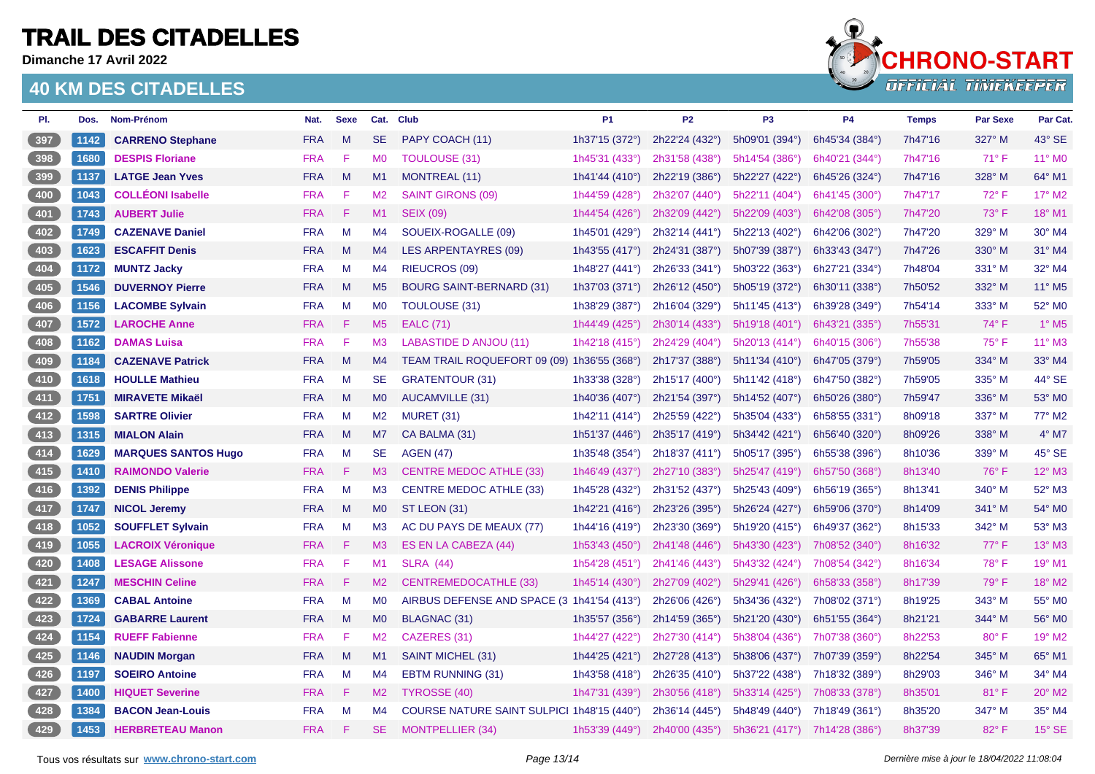**Dimanche 17 Avril 2022**



| PI. | Dos. | Nom-Prénom                 | Nat.       | <b>Sexe</b> |                | Cat. Club                                   | P <sub>1</sub> | P <sub>2</sub> | P <sub>3</sub>   | P4             | <b>Temps</b> | <b>Par Sexe</b> | Par Cat.                 |
|-----|------|----------------------------|------------|-------------|----------------|---------------------------------------------|----------------|----------------|------------------|----------------|--------------|-----------------|--------------------------|
| 397 | 1142 | <b>CARRENO Stephane</b>    | <b>FRA</b> | M           | <b>SE</b>      | PAPY COACH (11)                             | 1h37'15 (372°) | 2h22'24 (432°) | 5h09'01 (394°)   | 6h45'34 (384°) | 7h47'16      | 327° M          | 43° SE                   |
| 398 | 1680 | <b>DESPIS Floriane</b>     | <b>FRA</b> | F           | M <sub>0</sub> | <b>TOULOUSE (31)</b>                        | 1h45'31 (433°) | 2h31'58 (438°) | 5h14'54 (386°)   | 6h40'21 (344°) | 7h47'16      | $71^\circ$ F    | 11° MO                   |
| 399 | 1137 | <b>LATGE Jean Yves</b>     | <b>FRA</b> | M           | M1             | <b>MONTREAL (11)</b>                        | 1h41'44 (410°) | 2h22'19 (386°) | 5h22'27 (422°)   | 6h45'26 (324°) | 7h47'16      | 328° M          | 64° M1                   |
| 400 | 1043 | <b>COLLÉONI Isabelle</b>   | <b>FRA</b> | F           | M <sub>2</sub> | <b>SAINT GIRONS (09)</b>                    | 1h44'59 (428°) | 2h32'07 (440°) | 5h22'11 (404°)   | 6h41'45 (300°) | 7h47'17      | $72^{\circ}$ F  | 17° M2                   |
| 401 | 1743 | <b>AUBERT Julie</b>        | <b>FRA</b> | -F          | M1             | <b>SEIX (09)</b>                            | 1h44'54 (426°) | 2h32'09 (442°) | 5h22'09 (403°)   | 6h42'08 (305°) | 7h47'20      | 73° F           | 18° M1                   |
| 402 | 1749 | <b>CAZENAVE Daniel</b>     | FRA        | M           | M4             | SOUEIX-ROGALLE (09)                         | 1h45'01 (429°) | 2h32'14 (441°) | 5h22'13 (402°)   | 6h42'06 (302°) | 7h47'20      | 329° M          | 30° M4                   |
| 403 | 1623 | <b>ESCAFFIT Denis</b>      | <b>FRA</b> | M           | M4             | <b>LES ARPENTAYRES (09)</b>                 | 1h43'55 (417°) | 2h24'31 (387°) | 5h07'39 (387°)   | 6h33'43 (347°) | 7h47'26      | 330° M          | 31° M4                   |
| 404 | 1172 | <b>MUNTZ Jacky</b>         | <b>FRA</b> | M           | M4             | <b>RIEUCROS (09)</b>                        | 1h48'27 (441°) | 2h26'33 (341°) | 5h03'22 (363°)   | 6h27'21 (334°) | 7h48'04      | $331^\circ$ M   | 32° M4                   |
| 405 | 1546 | <b>DUVERNOY Pierre</b>     | <b>FRA</b> | $M_{\odot}$ | M <sub>5</sub> | <b>BOURG SAINT-BERNARD (31)</b>             | 1h37'03 (371°) | 2h26'12 (450°) | 5h05'19 (372°)   | 6h30'11 (338°) | 7h50'52      | 332° M          | 11° M5                   |
| 406 | 1156 | <b>LACOMBE Sylvain</b>     | <b>FRA</b> | M           | <b>MO</b>      | <b>TOULOUSE (31)</b>                        | 1h38'29 (387°) | 2h16'04 (329°) | 5h11'45 (413°)   | 6h39'28 (349°) | 7h54'14      | 333° M          | 52° MO                   |
| 407 | 1572 | <b>LAROCHE Anne</b>        | <b>FRA</b> | F           | M <sub>5</sub> | <b>EALC</b> (71)                            | 1h44'49 (425°) | 2h30'14 (433°) | 5h19'18(401°)    | 6h43'21 (335°) | 7h55'31      | $74^\circ$ F    | $1^\circ$ M <sub>5</sub> |
| 408 | 1162 | <b>DAMAS Luisa</b>         | <b>FRA</b> | F           | M <sub>3</sub> | <b>LABASTIDE D ANJOU (11)</b>               | 1h42'18 (415°) | 2h24'29 (404°) | 5h20'13 (414°)   | 6h40'15 (306°) | 7h55'38      | $75^{\circ}$ F  | 11° M3                   |
| 409 | 1184 | <b>CAZENAVE Patrick</b>    | <b>FRA</b> | M           | M4             | TEAM TRAIL ROQUEFORT 09 (09) 1h36'55 (368°) |                | 2h17'37 (388°) | 5h11'34 (410°)   | 6h47'05 (379°) | 7h59'05      | 334° M          | 33° M4                   |
| 410 | 1618 | <b>HOULLE Mathieu</b>      | <b>FRA</b> | M           | <b>SE</b>      | <b>GRATENTOUR (31)</b>                      | 1h33'38 (328°) | 2h15'17 (400°) | 5h11'42 (418°)   | 6h47'50 (382°) | 7h59'05      | 335° M          | 44° SE                   |
| 411 | 1751 | <b>MIRAVETE Mikaël</b>     | <b>FRA</b> | M           | MO             | <b>AUCAMVILLE (31)</b>                      | 1h40'36 (407°) | 2h21'54 (397°) | 5h14'52 (407°)   | 6h50'26 (380°) | 7h59'47      | 336° M          | 53° MO                   |
| 412 | 1598 | <b>SARTRE Olivier</b>      | <b>FRA</b> | M           | M2             | MURET (31)                                  | 1h42'11 (414°) | 2h25'59 (422°) | 5h35'04 (433°)   | 6h58'55 (331°) | 8h09'18      | 337° M          | 77° M2                   |
| 413 | 1315 | <b>MIALON Alain</b>        | <b>FRA</b> | M           | M7             | CA BALMA (31)                               | 1h51'37 (446°) | 2h35'17 (419°) | 5h34'42(421°)    | 6h56'40 (320°) | 8h09'26      | 338° M          | $4^{\circ}$ M7           |
| 414 | 1629 | <b>MARQUES SANTOS Hugo</b> | <b>FRA</b> | M           | <b>SE</b>      | <b>AGEN (47)</b>                            | 1h35'48 (354°) | 2h18'37 (411°) | 5h05'17 (395°)   | 6h55'38 (396°) | 8h10'36      | 339° M          | 45° SE                   |
| 415 | 1410 | <b>RAIMONDO Valerie</b>    | <b>FRA</b> | F           | M <sub>3</sub> | <b>CENTRE MEDOC ATHLE (33)</b>              | 1h46'49 (437°) | 2h27'10 (383°) | 5h25'47 (419°)   | 6h57'50 (368°) | 8h13'40      | 76°F            | 12° M3                   |
| 416 | 1392 | <b>DENIS Philippe</b>      | <b>FRA</b> | M           | M3             | <b>CENTRE MEDOC ATHLE (33)</b>              | 1h45'28 (432°) | 2h31'52 (437°) | 5h25'43 (409°)   | 6h56'19 (365°) | 8h13'41      | 340° M          | 52° M3                   |
| 417 | 1747 | <b>NICOL Jeremy</b>        | <b>FRA</b> | M           | M <sub>0</sub> | ST LEON (31)                                | 1h42'21 (416°) | 2h23'26 (395°) | 5h26'24 (427°)   | 6h59'06 (370°) | 8h14'09      | 341° M          | 54° MO                   |
| 418 | 1052 | <b>SOUFFLET Sylvain</b>    | <b>FRA</b> | M           | M <sub>3</sub> | AC DU PAYS DE MEAUX (77)                    | 1h44'16 (419°) | 2h23'30 (369°) | 5h19'20 (415°)   | 6h49'37 (362°) | 8h15'33      | 342° M          | 53° M3                   |
| 419 | 1055 | <b>LACROIX Véronique</b>   | <b>FRA</b> | F           | M3             | ES EN LA CABEZA (44)                        | 1h53'43 (450°) | 2h41'48 (446°) | 5h43'30 (423°)   | 7h08'52 (340°) | 8h16'32      | 77°F            | 13° M3                   |
| 420 | 1408 | <b>LESAGE Alissone</b>     | <b>FRA</b> | F           | M1             | <b>SLRA (44)</b>                            | 1h54'28 (451°) | 2h41'46 (443°) | 5h43'32 (424°)   | 7h08'54 (342°) | 8h16'34      | 78°F            | 19° M1                   |
| 421 | 1247 | <b>MESCHIN Celine</b>      | <b>FRA</b> | F           | M2             | <b>CENTREMEDOCATHLE (33)</b>                | 1h45'14 (430°) | 2h27'09 (402°) | 5h29'41 (426°)   | 6h58'33 (358°) | 8h17'39      | 79° F           | 18° M2                   |
| 422 | 1369 | <b>CABAL Antoine</b>       | <b>FRA</b> | M           | M <sub>0</sub> | AIRBUS DEFENSE AND SPACE (3 1h41'54 (413°)  |                | 2h26'06 (426°) | 5h34'36 (432°)   | 7h08'02 (371°) | 8h19'25      | 343° M          | 55° MO                   |
| 423 | 1724 | <b>GABARRE Laurent</b>     | <b>FRA</b> | M           | M <sub>0</sub> | BLAGNAC (31)                                | 1h35'57 (356°) | 2h14'59 (365°) | 5h21'20 (430°)   | 6h51'55 (364°) | 8h21'21      | 344° M          | 56° M0                   |
| 424 | 1154 | <b>RUEFF Fabienne</b>      | <b>FRA</b> | -F          | M2             | CAZERES (31)                                | 1h44'27 (422°) | 2h27'30 (414°) | $5h38'04$ (436°) | 7h07'38 (360°) | 8h22'53      | $80^\circ$ F    | 19° M2                   |
| 425 | 1146 | <b>NAUDIN Morgan</b>       | <b>FRA</b> | M           | M1             | SAINT MICHEL (31)                           | 1h44'25 (421°) | 2h27'28 (413°) | 5h38'06 (437°)   | 7h07'39 (359°) | 8h22'54      | 345° M          | 65° M1                   |
| 426 | 1197 | <b>SOEIRO Antoine</b>      | <b>FRA</b> | M           | M4             | <b>EBTM RUNNING (31)</b>                    | 1h43'58 (418°) | 2h26'35 (410°) | 5h37'22 (438°)   | 7h18'32 (389°) | 8h29'03      | 346° M          | 34° M4                   |
| 427 | 1400 | <b>HIQUET Severine</b>     | <b>FRA</b> | F           | M <sub>2</sub> | TYROSSE (40)                                | 1h47'31 (439°) | 2h30'56 (418°) | 5h33'14(425°)    | 7h08'33 (378°) | 8h35'01      | $81°$ F         | 20° M2                   |
| 428 | 1384 | <b>BACON Jean-Louis</b>    | <b>FRA</b> | M           | M4             | COURSE NATURE SAINT SULPICI 1h48'15 (440°)  |                | 2h36'14 (445°) | 5h48'49 (440°)   | 7h18'49 (361°) | 8h35'20      | 347° M          | 35° M4                   |
| 429 | 1453 | <b>HERBRETEAU Manon</b>    | <b>FRA</b> | F           | <b>SE</b>      | <b>MONTPELLIER (34)</b>                     | 1h53'39 (449°) | 2h40'00 (435°) | 5h36'21 (417°)   | 7h14'28 (386°) | 8h37'39      | 82°F            | $15^\circ$ SE            |